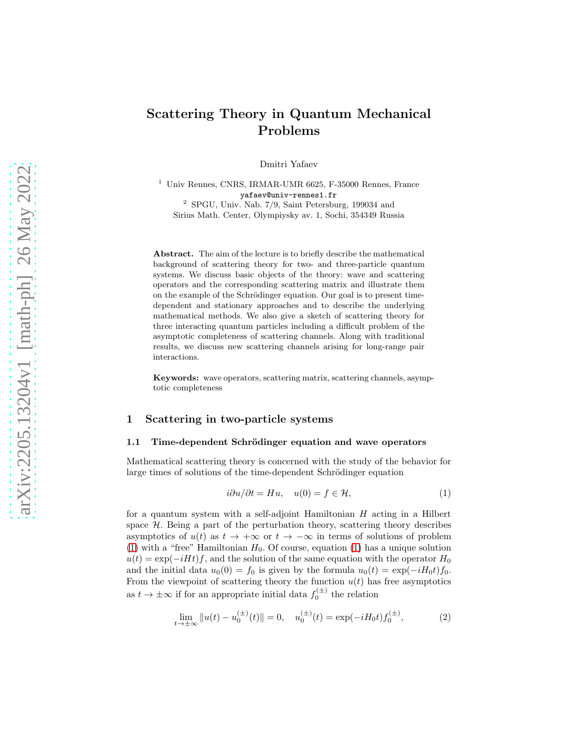# Scattering Theory in Quantum Mechanical Problems

Dmitri Yafaev

<sup>1</sup> Univ Rennes, CNRS, IRMAR-UMR 6625, F-35000 Rennes, France yafaev@univ-rennes1.fr <sup>2</sup> SPGU, Univ. Nab. 7/9, Saint Petersburg, 199034 and Sirius Math. Center, Olympiysky av. 1, Sochi, 354349 Russia

Abstract. The aim of the lecture is to briefly describe the mathematical background of scattering theory for two- and three-particle quantum systems. We discuss basic objects of the theory: wave and scattering operators and the corresponding scattering matrix and illustrate them on the example of the Schrödinger equation. Our goal is to present timedependent and stationary approaches and to describe the underlying mathematical methods. We also give a sketch of scattering theory for three interacting quantum particles including a difficult problem of the asymptotic completeness of scattering channels. Along with traditional results, we discuss new scattering channels arising for long-range pair interactions.

Keywords: wave operators, scattering matrix, scattering channels, asymptotic completeness

## 1 Scattering in two-particle systems

## 1.1 Time-dependent Schrödinger equation and wave operators

Mathematical scattering theory is concerned with the study of the behavior for large times of solutions of the time-dependent Schrödinger equation

<span id="page-0-0"></span>
$$
i\partial u/\partial t = Hu, \quad u(0) = f \in \mathcal{H}, \tag{1}
$$

for a quantum system with a self-adjoint Hamiltonian  $H$  acting in a Hilbert space  $H$ . Being a part of the perturbation theory, scattering theory describes asymptotics of  $u(t)$  as  $t \to +\infty$  or  $t \to -\infty$  in terms of solutions of problem [\(1\)](#page-0-0) with a "free" Hamiltonian  $H_0$ . Of course, equation [\(1\)](#page-0-0) has a unique solution  $u(t) = \exp(-iHt)f$ , and the solution of the same equation with the operator  $H_0$ and the initial data  $u_0(0) = f_0$  is given by the formula  $u_0(t) = \exp(-iH_0t)f_0$ . From the viewpoint of scattering theory the function  $u(t)$  has free asymptotics as  $t \to \pm \infty$  if for an appropriate initial data  $f_0^{(\pm)}$  the relation

<span id="page-0-1"></span>
$$
\lim_{t \to \pm \infty} ||u(t) - u_0^{(\pm)}(t)|| = 0, \quad u_0^{(\pm)}(t) = \exp(-iH_0 t) f_0^{(\pm)}, \tag{2}
$$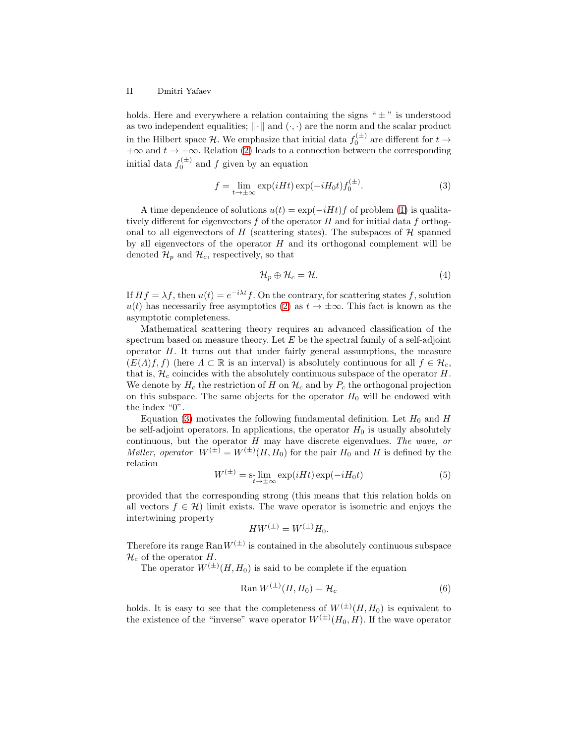#### II Dmitri Yafaev

holds. Here and everywhere a relation containing the signs " $\pm$ " is understood as two independent equalities;  $\|\cdot\|$  and  $(\cdot, \cdot)$  are the norm and the scalar product in the Hilbert space  $\mathcal{H}$ . We emphasize that initial data  $f_0^{(\pm)}$  are different for  $t \to$  $+\infty$  and  $t \to -\infty$ . Relation [\(2\)](#page-0-1) leads to a connection between the corresponding initial data  $f_0^{(\pm)}$  and f given by an equation

<span id="page-1-0"></span>
$$
f = \lim_{t \to \pm \infty} \exp(iHt) \exp(-iH_0t) f_0^{(\pm)}.
$$
 (3)

A time dependence of solutions  $u(t) = \exp(-iHt)f$  of problem [\(1\)](#page-0-0) is qualitatively different for eigenvectors  $f$  of the operator  $H$  and for initial data  $f$  orthogonal to all eigenvectors of  $H$  (scattering states). The subspaces of  $H$  spanned by all eigenvectors of the operator  $H$  and its orthogonal complement will be denoted  $\mathcal{H}_p$  and  $\mathcal{H}_c$ , respectively, so that

<span id="page-1-3"></span>
$$
\mathcal{H}_p \oplus \mathcal{H}_c = \mathcal{H}.\tag{4}
$$

If  $Hf = \lambda f$ , then  $u(t) = e^{-i\lambda t}f$ . On the contrary, for scattering states f, solution  $u(t)$  has necessarily free asymptotics [\(2\)](#page-0-1) as  $t \to \pm \infty$ . This fact is known as the asymptotic completeness.

Mathematical scattering theory requires an advanced classification of the spectrum based on measure theory. Let  $E$  be the spectral family of a self-adjoint operator  $H$ . It turns out that under fairly general assumptions, the measure  $(E(\Lambda)f, f)$  (here  $\Lambda \subset \mathbb{R}$  is an interval) is absolutely continuous for all  $f \in \mathcal{H}_c$ , that is,  $\mathcal{H}_c$  coincides with the absolutely continuous subspace of the operator H. We denote by  $H_c$  the restriction of H on  $\mathcal{H}_c$  and by  $P_c$  the orthogonal projection on this subspace. The same objects for the operator  $H_0$  will be endowed with the index "0".

Equation [\(3\)](#page-1-0) motivates the following fundamental definition. Let  $H_0$  and H be self-adjoint operators. In applications, the operator  $H_0$  is usually absolutely continuous, but the operator H may have discrete eigenvalues. The wave, or *Møller, operator*  $W^{(\pm)} = W^{(\pm)}(H, H_0)$  for the pair  $H_0$  and H is defined by the relation

<span id="page-1-1"></span>
$$
W^{(\pm)} = \operatorname*{s-lim}_{t \to \pm \infty} \exp(iHt) \exp(-iH_0t) \tag{5}
$$

provided that the corresponding strong (this means that this relation holds on all vectors  $f \in \mathcal{H}$ ) limit exists. The wave operator is isometric and enjoys the intertwining property

$$
HW^{(\pm)} = W^{(\pm)}H_0.
$$

Therefore its range  $\text{Ran} W^{(\pm)}$  is contained in the absolutely continuous subspace  $\mathcal{H}_c$  of the operator H.

The operator  $W^{(\pm)}(H, H_0)$  is said to be complete if the equation

<span id="page-1-2"></span>
$$
\operatorname{Ran} W^{(\pm)}(H, H_0) = \mathcal{H}_c \tag{6}
$$

holds. It is easy to see that the completeness of  $W^{(\pm)}(H, H_0)$  is equivalent to the existence of the "inverse" wave operator  $W^{(\pm)}(H_0, H)$ . If the wave operator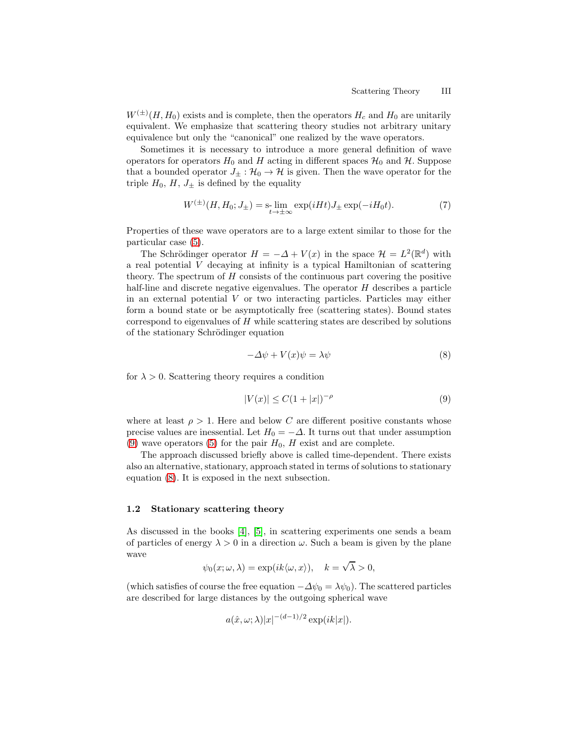$W^{(\pm)}(H, H_0)$  exists and is complete, then the operators  $H_c$  and  $H_0$  are unitarily equivalent. We emphasize that scattering theory studies not arbitrary unitary equivalence but only the "canonical" one realized by the wave operators.

Sometimes it is necessary to introduce a more general definition of wave operators for operators  $H_0$  and H acting in different spaces  $\mathcal{H}_0$  and H. Suppose that a bounded operator  $J_{\pm} : \mathcal{H}_0 \to \mathcal{H}$  is given. Then the wave operator for the triple  $H_0$ ,  $H$ ,  $J_{\pm}$  is defined by the equality

<span id="page-2-2"></span>
$$
W^{(\pm)}(H, H_0; J_{\pm}) = \sum_{t \to \pm \infty} \exp(iHt) J_{\pm} \exp(-iH_0 t). \tag{7}
$$

Properties of these wave operators are to a large extent similar to those for the particular case [\(5\)](#page-1-1).

The Schrödinger operator  $H = -\Delta + V(x)$  in the space  $\mathcal{H} = L^2(\mathbb{R}^d)$  with a real potential V decaying at infinity is a typical Hamiltonian of scattering theory. The spectrum of  $H$  consists of the continuous part covering the positive half-line and discrete negative eigenvalues. The operator H describes a particle in an external potential V or two interacting particles. Particles may either form a bound state or be asymptotically free (scattering states). Bound states correspond to eigenvalues of  $H$  while scattering states are described by solutions of the stationary Schrödinger equation

<span id="page-2-1"></span>
$$
-\Delta \psi + V(x)\psi = \lambda \psi \tag{8}
$$

for  $\lambda > 0$ . Scattering theory requires a condition

<span id="page-2-0"></span>
$$
|V(x)| \le C(1+|x|)^{-\rho} \tag{9}
$$

where at least  $\rho > 1$ . Here and below C are different positive constants whose precise values are inessential. Let  $H_0 = -\Delta$ . It turns out that under assumption [\(9\)](#page-2-0) wave operators [\(5\)](#page-1-1) for the pair  $H_0$ , H exist and are complete.

The approach discussed briefly above is called time-dependent. There exists also an alternative, stationary, approach stated in terms of solutions to stationary equation [\(8\)](#page-2-1). It is exposed in the next subsection.

## 1.2 Stationary scattering theory

As discussed in the books [\[4\]](#page-28-0), [\[5\]](#page-28-1), in scattering experiments one sends a beam of particles of energy  $\lambda > 0$  in a direction  $\omega$ . Such a beam is given by the plane wave

$$
\psi_0(x; \omega, \lambda) = \exp(ik \langle \omega, x \rangle), \quad k = \sqrt{\lambda} > 0,
$$

(which satisfies of course the free equation  $-\Delta\psi_0 = \lambda\psi_0$ ). The scattered particles are described for large distances by the outgoing spherical wave

$$
a(\hat{x}, \omega; \lambda)|x|^{-(d-1)/2} \exp(ik|x|).
$$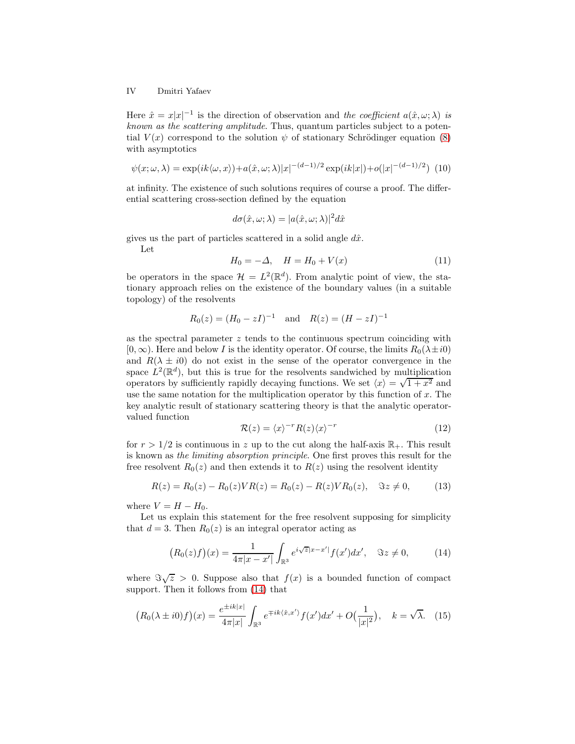## IV Dmitri Yafaev

Here  $\hat{x} = x|x|^{-1}$  is the direction of observation and the coefficient  $a(\hat{x}, \omega; \lambda)$  is known as the scattering amplitude. Thus, quantum particles subject to a potential  $V(x)$  correspond to the solution  $\psi$  of stationary Schrödinger equation [\(8\)](#page-2-1) with asymptotics

<span id="page-3-3"></span>
$$
\psi(x;\omega,\lambda) = \exp(ik\langle\omega,x\rangle) + a(\hat{x},\omega;\lambda)|x|^{-(d-1)/2}\exp(ik|x|) + o(|x|^{-(d-1)/2})
$$
(10)

at infinity. The existence of such solutions requires of course a proof. The differential scattering cross-section defined by the equation

$$
d\sigma(\hat{x}, \omega; \lambda) = |a(\hat{x}, \omega; \lambda)|^2 d\hat{x}
$$

gives us the part of particles scattered in a solid angle  $d\hat{x}$ .

Let

<span id="page-3-5"></span>
$$
H_0 = -\Delta, \quad H = H_0 + V(x) \tag{11}
$$

be operators in the space  $\mathcal{H} = L^2(\mathbb{R}^d)$ . From analytic point of view, the stationary approach relies on the existence of the boundary values (in a suitable topology) of the resolvents

$$
R_0(z) = (H_0 - zI)^{-1}
$$
 and  $R(z) = (H - zI)^{-1}$ 

as the spectral parameter  $z$  tends to the continuous spectrum coinciding with  $[0, \infty)$ . Here and below I is the identity operator. Of course, the limits  $R_0(\lambda \pm i0)$ and  $R(\lambda \pm i0)$  do not exist in the sense of the operator convergence in the space  $L^2(\mathbb{R}^d)$ , but this is true for the resolvents sandwiched by multiplication operators by sufficiently rapidly decaying functions. We set  $\langle x \rangle = \sqrt{1 + x^2}$  and use the same notation for the multiplication operator by this function of  $x$ . The key analytic result of stationary scattering theory is that the analytic operatorvalued function

<span id="page-3-1"></span>
$$
\mathcal{R}(z) = \langle x \rangle^{-r} R(z) \langle x \rangle^{-r} \tag{12}
$$

for  $r > 1/2$  is continuous in z up to the cut along the half-axis  $\mathbb{R}_+$ . This result is known as the limiting absorption principle. One first proves this result for the free resolvent  $R_0(z)$  and then extends it to  $R(z)$  using the resolvent identity

<span id="page-3-2"></span>
$$
R(z) = R_0(z) - R_0(z)VR(z) = R_0(z) - R(z)VR_0(z), \quad \Im z \neq 0,
$$
 (13)

where  $V = H - H_0$ .

Let us explain this statement for the free resolvent supposing for simplicity that  $d = 3$ . Then  $R_0(z)$  is an integral operator acting as

<span id="page-3-0"></span>
$$
(R_0(z)f)(x) = \frac{1}{4\pi|x - x'|} \int_{\mathbb{R}^3} e^{i\sqrt{z}|x - x'|} f(x') dx', \quad \Im z \neq 0,
$$
 (14)

where  $\Im \sqrt{z} > 0$ . Suppose also that  $f(x)$  is a bounded function of compact support. Then it follows from [\(14\)](#page-3-0) that

<span id="page-3-4"></span>
$$
(R_0(\lambda \pm i0)f)(x) = \frac{e^{\pm ik|x|}}{4\pi|x|} \int_{\mathbb{R}^3} e^{\mp ik\langle \hat{x}, x' \rangle} f(x') dx' + O\left(\frac{1}{|x|^2}\right), \quad k = \sqrt{\lambda}. \tag{15}
$$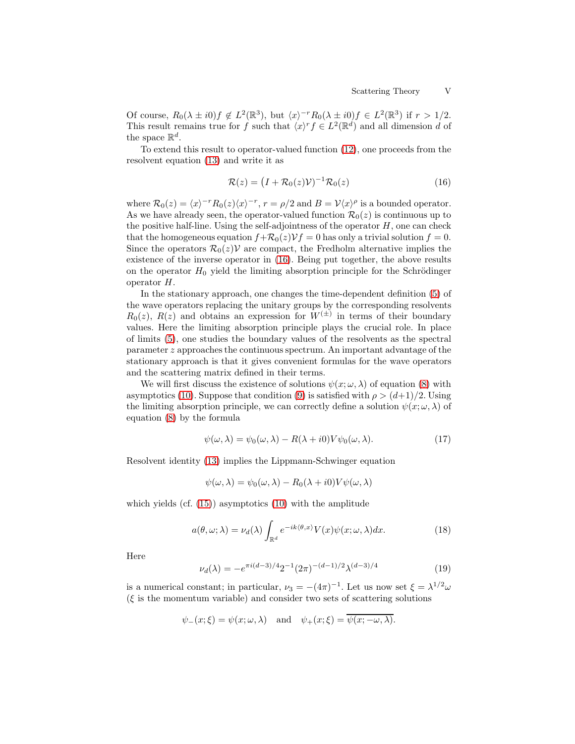Of course,  $R_0(\lambda \pm i0)f \notin L^2(\mathbb{R}^3)$ , but  $\langle x \rangle^{-r}R_0(\lambda \pm i0)f \in L^2(\mathbb{R}^3)$  if  $r > 1/2$ . This result remains true for f such that  $\langle x \rangle^r f \in L^2(\mathbb{R}^d)$  and all dimension d of the space  $\mathbb{R}^d$ .

To extend this result to operator-valued function [\(12\)](#page-3-1), one proceeds from the resolvent equation [\(13\)](#page-3-2) and write it as

<span id="page-4-0"></span>
$$
\mathcal{R}(z) = (I + \mathcal{R}_0(z)\mathcal{V})^{-1}\mathcal{R}_0(z)
$$
\n(16)

where  $\mathcal{R}_0(z) = \langle x \rangle^{-r} R_0(z) \langle x \rangle^{-r}$ ,  $r = \rho/2$  and  $B = \mathcal{V}\langle x \rangle^{\rho}$  is a bounded operator. As we have already seen, the operator-valued function  $\mathcal{R}_0(z)$  is continuous up to the positive half-line. Using the self-adjointness of the operator  $H$ , one can check that the homogeneous equation  $f+\mathcal{R}_0(z)\mathcal{V}f=0$  has only a trivial solution  $f=0$ . Since the operators  $\mathcal{R}_0(z)\mathcal{V}$  are compact, the Fredholm alternative implies the existence of the inverse operator in [\(16\)](#page-4-0). Being put together, the above results on the operator  $H_0$  yield the limiting absorption principle for the Schrödinger operator H.

In the stationary approach, one changes the time-dependent definition [\(5\)](#page-1-1) of the wave operators replacing the unitary groups by the corresponding resolvents  $R_0(z)$ ,  $R(z)$  and obtains an expression for  $W^{(\pm)}$  in terms of their boundary values. Here the limiting absorption principle plays the crucial role. In place of limits [\(5\)](#page-1-1), one studies the boundary values of the resolvents as the spectral parameter z approaches the continuous spectrum. An important advantage of the stationary approach is that it gives convenient formulas for the wave operators and the scattering matrix defined in their terms.

We will first discuss the existence of solutions  $\psi(x; \omega, \lambda)$  of equation [\(8\)](#page-2-1) with asymptotics [\(10\)](#page-3-3). Suppose that condition [\(9\)](#page-2-0) is satisfied with  $\rho > (d+1)/2$ . Using the limiting absorption principle, we can correctly define a solution  $\psi(x; \omega, \lambda)$  of equation [\(8\)](#page-2-1) by the formula

<span id="page-4-1"></span>
$$
\psi(\omega,\lambda) = \psi_0(\omega,\lambda) - R(\lambda + i0)V\psi_0(\omega,\lambda).
$$
\n(17)

Resolvent identity [\(13\)](#page-3-2) implies the Lippmann-Schwinger equation

$$
\psi(\omega,\lambda) = \psi_0(\omega,\lambda) - R_0(\lambda + i0)V\psi(\omega,\lambda)
$$

which yields (cf.  $(15)$ ) asymptotics  $(10)$  with the amplitude

<span id="page-4-2"></span>
$$
a(\theta, \omega; \lambda) = \nu_d(\lambda) \int_{\mathbb{R}^d} e^{-ik \langle \theta, x \rangle} V(x) \psi(x; \omega, \lambda) dx.
$$
 (18)

Here

<span id="page-4-3"></span>
$$
\nu_d(\lambda) = -e^{\pi i (d-3)/4} 2^{-1} (2\pi)^{-(d-1)/2} \lambda^{(d-3)/4}
$$
\n(19)

is a numerical constant; in particular,  $\nu_3 = -(4\pi)^{-1}$ . Let us now set  $\xi = \lambda^{1/2} \omega$  $(\xi)$  is the momentum variable) and consider two sets of scattering solutions

$$
\psi_{-}(x;\xi) = \psi(x;\omega,\lambda)
$$
 and  $\psi_{+}(x;\xi) = \overline{\psi(x;-\omega,\lambda)}$ .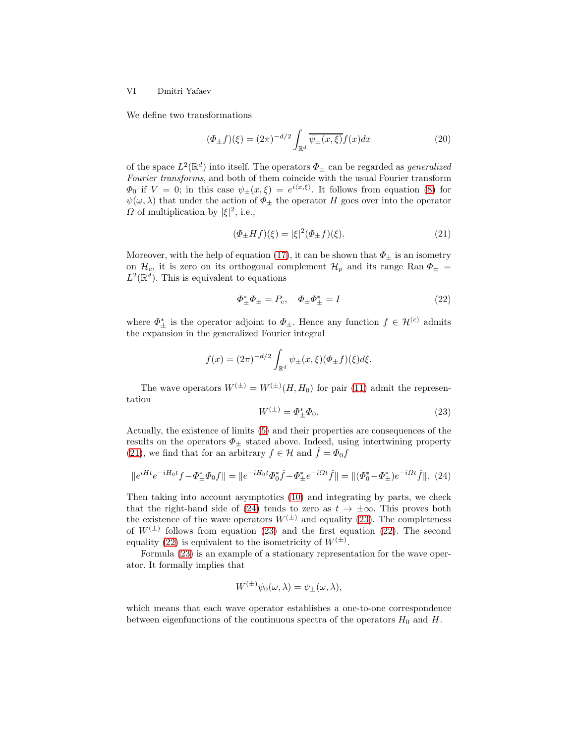#### VI Dmitri Yafaev

We define two transformations

<span id="page-5-4"></span>
$$
(\Phi_{\pm}f)(\xi) = (2\pi)^{-d/2} \int_{\mathbb{R}^d} \overline{\psi_{\pm}(x,\xi)} f(x) dx \tag{20}
$$

of the space  $L^2(\mathbb{R}^d)$  into itself. The operators  $\Phi_{\pm}$  can be regarded as *generalized* Fourier transforms, and both of them coincide with the usual Fourier transform  $\Phi_0$  if  $V = 0$ ; in this case  $\psi_{\pm}(x,\xi) = e^{i\langle x,\xi \rangle}$ . It follows from equation [\(8\)](#page-2-1) for  $\psi(\omega, \lambda)$  that under the action of  $\Phi_{\pm}$  the operator H goes over into the operator  $\Omega$  of multiplication by  $|\xi|^2$ , i.e.,

<span id="page-5-0"></span>
$$
(\Phi_{\pm}Hf)(\xi) = |\xi|^2 (\Phi_{\pm}f)(\xi). \tag{21}
$$

Moreover, with the help of equation [\(17\)](#page-4-1), it can be shown that  $\Phi_{\pm}$  is an isometry on  $\mathcal{H}_c$ , it is zero on its orthogonal complement  $\mathcal{H}_p$  and its range Ran  $\Phi_{\pm}$  =  $L^2(\mathbb{R}^d)$ . This is equivalent to equations

<span id="page-5-3"></span>
$$
\Phi_{\pm}^* \Phi_{\pm} = P_c, \quad \Phi_{\pm} \Phi_{\pm}^* = I \tag{22}
$$

where  $\Phi_{\pm}^*$  is the operator adjoint to  $\Phi_{\pm}$ . Hence any function  $f \in \mathcal{H}^{(c)}$  admits the expansion in the generalized Fourier integral

$$
f(x) = (2\pi)^{-d/2} \int_{\mathbb{R}^d} \psi_{\pm}(x,\xi) (\Phi_{\pm} f)(\xi) d\xi.
$$

The wave operators  $W^{(\pm)} = W^{(\pm)}(H, H_0)$  for pair [\(11\)](#page-3-5) admit the representation

<span id="page-5-2"></span>
$$
W^{(\pm)} = \Phi_{\pm}^* \Phi_0. \tag{23}
$$

Actually, the existence of limits [\(5\)](#page-1-1) and their properties are consequences of the results on the operators  $\Phi_{\pm}$  stated above. Indeed, using intertwining property [\(21\)](#page-5-0), we find that for an arbitrary  $f \in \mathcal{H}$  and  $\hat{f} = \Phi_0 f$ 

<span id="page-5-1"></span>
$$
||e^{iHt}e^{-iH_0t}f - \Phi_{\pm}^* \Phi_0 f|| = ||e^{-iH_0t} \Phi_0^* \hat{f} - \Phi_{\pm}^* e^{-i\Omega t} \hat{f}|| = ||(\Phi_0^* - \Phi_{\pm}^*)e^{-i\Omega t} \hat{f}||. (24)
$$

Then taking into account asymptotics [\(10\)](#page-3-3) and integrating by parts, we check that the right-hand side of [\(24\)](#page-5-1) tends to zero as  $t \to \pm \infty$ . This proves both the existence of the wave operators  $W^{(\pm)}$  and equality [\(23\)](#page-5-2). The completeness of  $W^{(\pm)}$  follows from equation [\(23\)](#page-5-2) and the first equation [\(22\)](#page-5-3). The second equality [\(22\)](#page-5-3) is equivalent to the isometricity of  $W^{(\pm)}$ .

Formula [\(23\)](#page-5-2) is an example of a stationary representation for the wave operator. It formally implies that

$$
W^{(\pm)}\psi_0(\omega,\lambda) = \psi_{\pm}(\omega,\lambda),
$$

which means that each wave operator establishes a one-to-one correspondence between eigenfunctions of the continuous spectra of the operators  $H_0$  and  $H$ .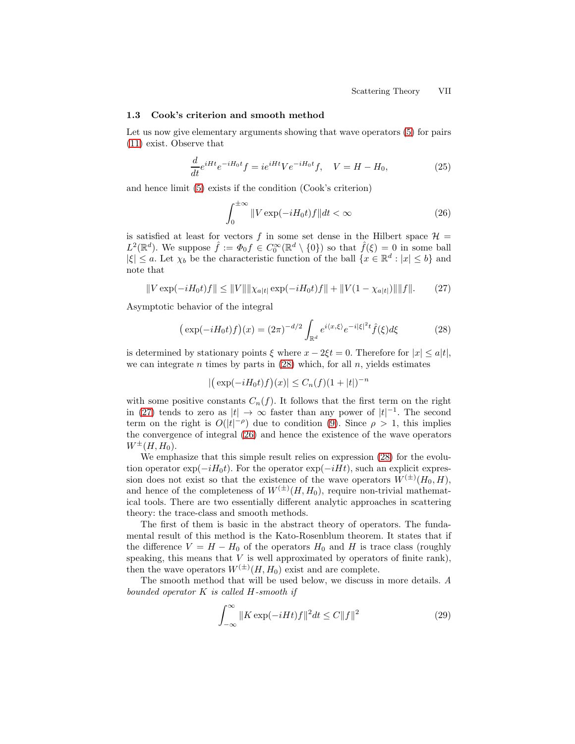#### 1.3 Cook's criterion and smooth method

Let us now give elementary arguments showing that wave operators [\(5\)](#page-1-1) for pairs [\(11\)](#page-3-5) exist. Observe that

<span id="page-6-4"></span>
$$
\frac{d}{dt}e^{iHt}e^{-iH_0t}f = ie^{iHt}Ve^{-iH_0t}f, \quad V = H - H_0,\tag{25}
$$

and hence limit [\(5\)](#page-1-1) exists if the condition (Cook's criterion)

<span id="page-6-2"></span>
$$
\int_0^{\pm\infty} \|V \exp(-iH_0 t)f\| dt < \infty \tag{26}
$$

is satisfied at least for vectors f in some set dense in the Hilbert space  $\mathcal{H} =$  $L^2(\mathbb{R}^d)$ . We suppose  $\hat{f} := \Phi_0 f \in C_0^{\infty}(\mathbb{R}^d \setminus \{0\})$  so that  $\hat{f}(\xi) = 0$  in some ball  $|\xi| \leq a$ . Let  $\chi_b$  be the characteristic function of the ball  $\{x \in \mathbb{R}^d : |x| \leq b\}$  and note that

<span id="page-6-1"></span>
$$
||V \exp(-iH_0 t)f|| \le ||V|| ||\chi_{a|t|} \exp(-iH_0 t)f|| + ||V(1 - \chi_{a|t|})|| ||f||. \tag{27}
$$

Asymptotic behavior of the integral

<span id="page-6-0"></span>
$$
\left(\exp(-iH_0t)f\right)(x) = (2\pi)^{-d/2} \int_{\mathbb{R}^d} e^{i\langle x,\xi\rangle} e^{-i|\xi|^2 t} \hat{f}(\xi) d\xi \tag{28}
$$

is determined by stationary points  $\xi$  where  $x - 2\xi t = 0$ . Therefore for  $|x| \le a|t|$ , we can integrate n times by parts in  $(28)$  which, for all n, yields estimates

$$
|(\exp(-iH_0t)f)(x)| \le C_n(f)(1+|t|)^{-n}
$$

with some positive constants  $C_n(f)$ . It follows that the first term on the right in [\(27\)](#page-6-1) tends to zero as  $|t| \to \infty$  faster than any power of  $|t|^{-1}$ . The second term on the right is  $O(|t|^{-\rho})$  due to condition [\(9\)](#page-2-0). Since  $\rho > 1$ , this implies the convergence of integral [\(26\)](#page-6-2) and hence the existence of the wave operators  $W^{\pm}(H, H_0)$ .

We emphasize that this simple result relies on expression [\(28\)](#page-6-0) for the evolution operator exp( $-iH_0t$ ). For the operator exp( $-iHt$ ), such an explicit expression does not exist so that the existence of the wave operators  $W^{(\pm)}(H_0, H)$ , and hence of the completeness of  $W^{(\pm)}(H, H_0)$ , require non-trivial mathematical tools. There are two essentially different analytic approaches in scattering theory: the trace-class and smooth methods.

The first of them is basic in the abstract theory of operators. The fundamental result of this method is the Kato-Rosenblum theorem. It states that if the difference  $V = H - H_0$  of the operators  $H_0$  and H is trace class (roughly speaking, this means that  $V$  is well approximated by operators of finite rank), then the wave operators  $W^{(\pm)}(H, H_0)$  exist and are complete.

The smooth method that will be used below, we discuss in more details. A bounded operator  $K$  is called  $H$ -smooth if

<span id="page-6-3"></span>
$$
\int_{-\infty}^{\infty} \|K \exp(-iHt)f\|^2 dt \le C \|f\|^2 \tag{29}
$$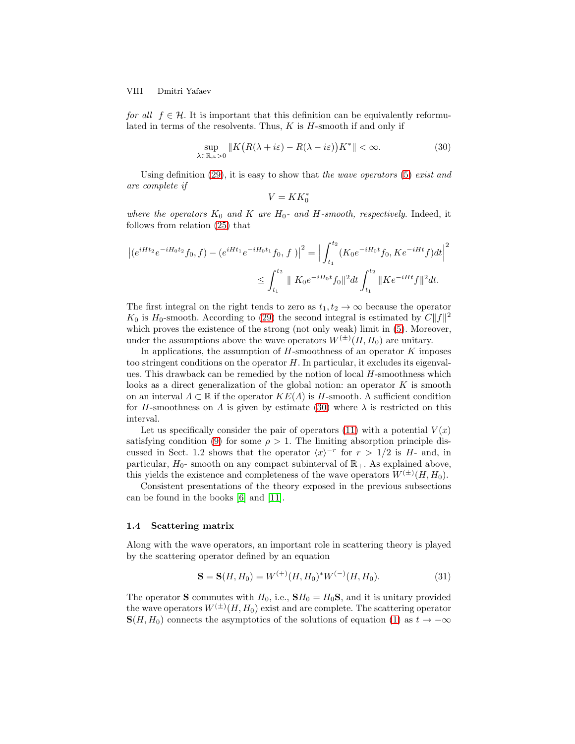VIII Dmitri Yafaev

for all  $f \in \mathcal{H}$ . It is important that this definition can be equivalently reformulated in terms of the resolvents. Thus,  $K$  is  $H$ -smooth if and only if

<span id="page-7-0"></span>
$$
\sup_{\lambda \in \mathbb{R}, \varepsilon > 0} \| K \big( R(\lambda + i\varepsilon) - R(\lambda - i\varepsilon) \big) K^* \| < \infty. \tag{30}
$$

Using definition  $(29)$ , it is easy to show that the wave operators  $(5)$  exist and are complete if

$$
V = KK_0^*
$$

where the operators  $K_0$  and  $K$  are  $H_0$ - and  $H$ -smooth, respectively. Indeed, it follows from relation [\(25\)](#page-6-4) that

$$
\left| (e^{iHt_2}e^{-iH_0t_2}f_0,f) - (e^{iHt_1}e^{-iH_0t_1}f_0,f) \right|^2 = \left| \int_{t_1}^{t_2} (K_0e^{-iH_0t}f_0, Ke^{-iHt}f)dt \right|^2
$$
  

$$
\leq \int_{t_1}^{t_2} ||K_0e^{-iH_0t}f_0||^2 dt \int_{t_1}^{t_2} ||Ke^{-iHt}f||^2 dt.
$$

The first integral on the right tends to zero as  $t_1, t_2 \to \infty$  because the operator  $K_0$  is  $H_0$ -smooth. According to [\(29\)](#page-6-3) the second integral is estimated by  $C||f||^2$ which proves the existence of the strong (not only weak) limit in  $(5)$ . Moreover, under the assumptions above the wave operators  $W^{(\pm)}(H, H_0)$  are unitary.

In applications, the assumption of  $H$ -smoothness of an operator  $K$  imposes too stringent conditions on the operator  $H$ . In particular, it excludes its eigenvalues. This drawback can be remedied by the notion of local  $H$ -smoothness which looks as a direct generalization of the global notion: an operator  $K$  is smooth on an interval  $\Lambda \subset \mathbb{R}$  if the operator  $KE(\Lambda)$  is H-smooth. A sufficient condition for H-smoothness on  $\Lambda$  is given by estimate [\(30\)](#page-7-0) where  $\lambda$  is restricted on this interval.

Let us specifically consider the pair of operators [\(11\)](#page-3-5) with a potential  $V(x)$ satisfying condition [\(9\)](#page-2-0) for some  $\rho > 1$ . The limiting absorption principle discussed in Sect. 1.2 shows that the operator  $\langle x \rangle^{-r}$  for  $r > 1/2$  is H- and, in particular,  $H_0$ - smooth on any compact subinterval of  $\mathbb{R}_+$ . As explained above, this yields the existence and completeness of the wave operators  $W^{(\pm)}(H, H_0)$ .

Consistent presentations of the theory exposed in the previous subsections can be found in the books [\[6\]](#page-28-2) and [\[11\]](#page-28-3).

#### 1.4 Scattering matrix

Along with the wave operators, an important role in scattering theory is played by the scattering operator defined by an equation

<span id="page-7-1"></span>
$$
\mathbf{S} = \mathbf{S}(H, H_0) = W^{(+)}(H, H_0)^* W^{(-)}(H, H_0). \tag{31}
$$

The operator **S** commutes with  $H_0$ , i.e.,  $\mathbf{S}H_0 = H_0\mathbf{S}$ , and it is unitary provided the wave operators  $W^{(\pm)}(H, H_0)$  exist and are complete. The scattering operator  $\mathbf{S}(H, H_0)$  connects the asymptotics of the solutions of equation [\(1\)](#page-0-0) as  $t \to -\infty$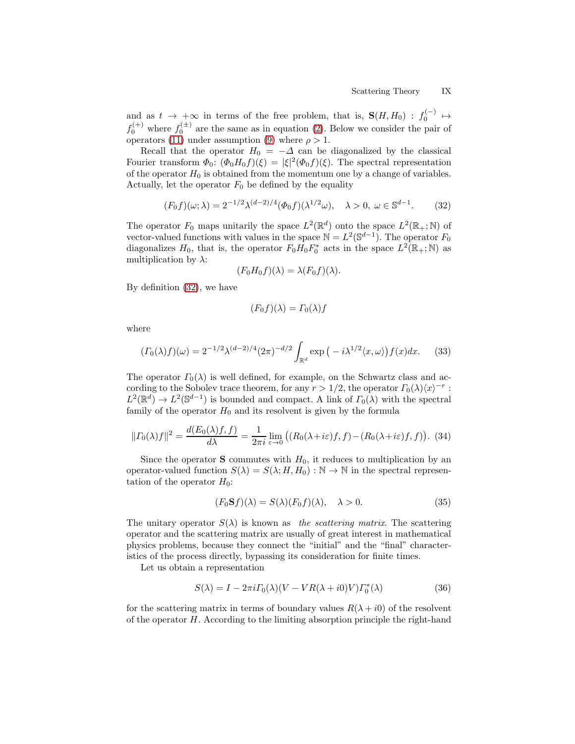and as  $t \to +\infty$  in terms of the free problem, that is,  $S(H, H_0) : f_0^{(-)} \to$  $f_0^{(+)}$  where  $f_0^{(\pm)}$  are the same as in equation [\(2\)](#page-0-1). Below we consider the pair of operators [\(11\)](#page-3-5) under assumption [\(9\)](#page-2-0) where  $\rho > 1$ .

Recall that the operator  $H_0 = -\Delta$  can be diagonalized by the classical Fourier transform  $\Phi_0$ :  $(\Phi_0 H_0 f)(\xi) = |\xi|^2 (\Phi_0 f)(\xi)$ . The spectral representation of the operator  $H_0$  is obtained from the momentum one by a change of variables. Actually, let the operator  $F_0$  be defined by the equality

<span id="page-8-0"></span>
$$
(F_0 f)(\omega; \lambda) = 2^{-1/2} \lambda^{(d-2)/4} (\Phi_0 f)(\lambda^{1/2} \omega), \quad \lambda > 0, \ \omega \in \mathbb{S}^{d-1}.
$$
 (32)

The operator  $F_0$  maps unitarily the space  $L^2(\mathbb{R}^d)$  onto the space  $L^2(\mathbb{R}_+;\mathbb{N})$  of vector-valued functions with values in the space  $\mathbb{N} = L^2(\mathbb{S}^{d-1})$ . The operator  $F_0$ diagonalizes  $H_0$ , that is, the operator  $F_0H_0F_0^*$  acts in the space  $L^2(\mathbb{R}_+;\mathbb{N})$  as multiplication by  $\lambda$ :

$$
(F_0H_0f)(\lambda) = \lambda (F_0f)(\lambda).
$$

By definition [\(32\)](#page-8-0), we have

$$
(F_0 f)(\lambda) = \Gamma_0(\lambda) f
$$

where

<span id="page-8-2"></span>
$$
(T_0(\lambda)f)(\omega) = 2^{-1/2}\lambda^{(d-2)/4}(2\pi)^{-d/2} \int_{\mathbb{R}^d} \exp\left(-i\lambda^{1/2}\langle x,\omega\rangle\right) f(x)dx. \tag{33}
$$

The operator  $\Gamma_0(\lambda)$  is well defined, for example, on the Schwartz class and according to the Sobolev trace theorem, for any  $r > 1/2$ , the operator  $\Gamma_0(\lambda)\langle x \rangle^{-r}$ :  $L^2(\mathbb{R}^d) \to L^2(\mathbb{S}^{d-1})$  is bounded and compact. A link of  $\Gamma_0(\lambda)$  with the spectral family of the operator  $H_0$  and its resolvent is given by the formula

<span id="page-8-3"></span>
$$
||\Gamma_0(\lambda)f||^2 = \frac{d(E_0(\lambda)f,f)}{d\lambda} = \frac{1}{2\pi i} \lim_{\varepsilon \to 0} \left( (R_0(\lambda + i\varepsilon)f,f) - (R_0(\lambda + i\varepsilon)f,f) \right). (34)
$$

Since the operator **S** commutes with  $H_0$ , it reduces to multiplication by an operator-valued function  $S(\lambda) = S(\lambda; H, H_0) : \mathbb{N} \to \mathbb{N}$  in the spectral representation of the operator  $H_0$ :

<span id="page-8-4"></span>
$$
(F_0 \mathbf{S} f)(\lambda) = S(\lambda)(F_0 f)(\lambda), \quad \lambda > 0.
$$
\n(35)

The unitary operator  $S(\lambda)$  is known as the scattering matrix. The scattering operator and the scattering matrix are usually of great interest in mathematical physics problems, because they connect the "initial" and the "final" characteristics of the process directly, bypassing its consideration for finite times.

Let us obtain a representation

<span id="page-8-1"></span>
$$
S(\lambda) = I - 2\pi i \Gamma_0(\lambda) (V - VR(\lambda + i0)V) \Gamma_0^*(\lambda)
$$
\n(36)

for the scattering matrix in terms of boundary values  $R(\lambda + i0)$  of the resolvent of the operator H. According to the limiting absorption principle the right-hand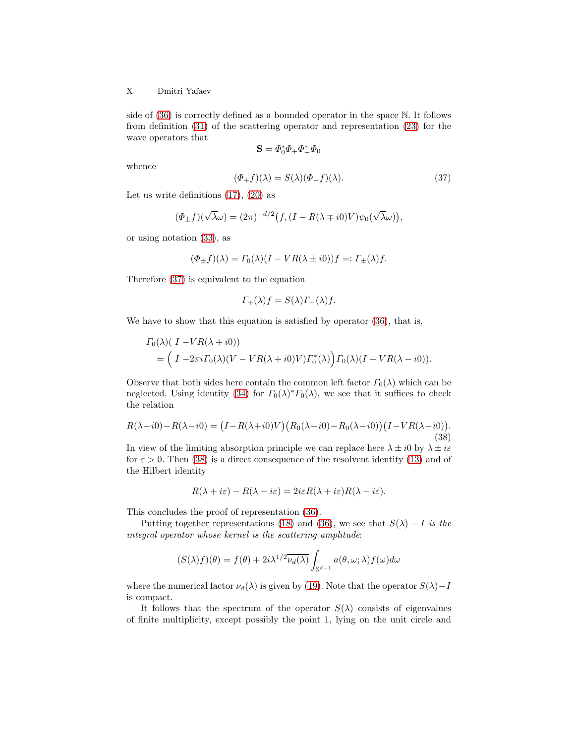## X Dmitri Yafaev

side of [\(36\)](#page-8-1) is correctly defined as a bounded operator in the space N. It follows from definition [\(31\)](#page-7-1) of the scattering operator and representation [\(23\)](#page-5-2) for the wave operators that

$$
\mathbf{S}=\varPhi_0^*\varPhi_+\varPhi_-^*\varPhi_0
$$

whence

<span id="page-9-0"></span>
$$
(\Phi_{+}f)(\lambda) = S(\lambda)(\Phi_{-}f)(\lambda). \tag{37}
$$

Let us write definitions  $(17)$ ,  $(20)$  as

$$
(\Phi_{\pm} f)(\sqrt{\lambda}\omega) = (2\pi)^{-d/2} \big(f, (I - R(\lambda \mp i0)V)\psi_0(\sqrt{\lambda}\omega)\big),
$$

or using notation [\(33\)](#page-8-2), as

$$
(\Phi_{\pm} f)(\lambda) = \Gamma_0(\lambda)(I - VR(\lambda \pm i0))f =: \Gamma_{\pm}(\lambda)f.
$$

Therefore [\(37\)](#page-9-0) is equivalent to the equation

$$
\Gamma_+(\lambda)f = S(\lambda)\Gamma_-(\lambda)f.
$$

We have to show that this equation is satisfied by operator  $(36)$ , that is,

$$
\begin{aligned} \Gamma_0(\lambda) (I - VR(\lambda + i0)) \\ &= \left( I - 2\pi i \Gamma_0(\lambda) (V - VR(\lambda + i0)V) \Gamma_0^*(\lambda) \right) \Gamma_0(\lambda) (I - VR(\lambda - i0)). \end{aligned}
$$

Observe that both sides here contain the common left factor  $\Gamma_0(\lambda)$  which can be neglected. Using identity [\(34\)](#page-8-3) for  $\Gamma_0(\lambda)^* \Gamma_0(\lambda)$ , we see that it suffices to check the relation

<span id="page-9-1"></span>
$$
R(\lambda + i0) - R(\lambda - i0) = (I - R(\lambda + i0)V)(R_0(\lambda + i0) - R_0(\lambda - i0))(I - VR(\lambda - i0)).
$$
\n(38)

In view of the limiting absorption principle we can replace here  $\lambda \pm i0$  by  $\lambda \pm i\varepsilon$ for  $\varepsilon > 0$ . Then [\(38\)](#page-9-1) is a direct consequence of the resolvent identity [\(13\)](#page-3-2) and of the Hilbert identity

$$
R(\lambda + i\varepsilon) - R(\lambda - i\varepsilon) = 2i\varepsilon R(\lambda + i\varepsilon)R(\lambda - i\varepsilon).
$$

This concludes the proof of representation [\(36\)](#page-8-1).

Putting together representations [\(18\)](#page-4-2) and [\(36\)](#page-8-1), we see that  $S(\lambda) - I$  is the integral operator whose kernel is the scattering amplitude:

$$
(S(\lambda)f)(\theta)=f(\theta)+2i\lambda^{1/2}\overline{\nu_d(\lambda)}\int_{\mathbb{S}^{d-1}}a(\theta,\omega;\lambda)f(\omega)d\omega
$$

where the numerical factor  $\nu_d(\lambda)$  is given by [\(19\)](#page-4-3). Note that the operator  $S(\lambda) - I$ is compact.

It follows that the spectrum of the operator  $S(\lambda)$  consists of eigenvalues of finite multiplicity, except possibly the point 1, lying on the unit circle and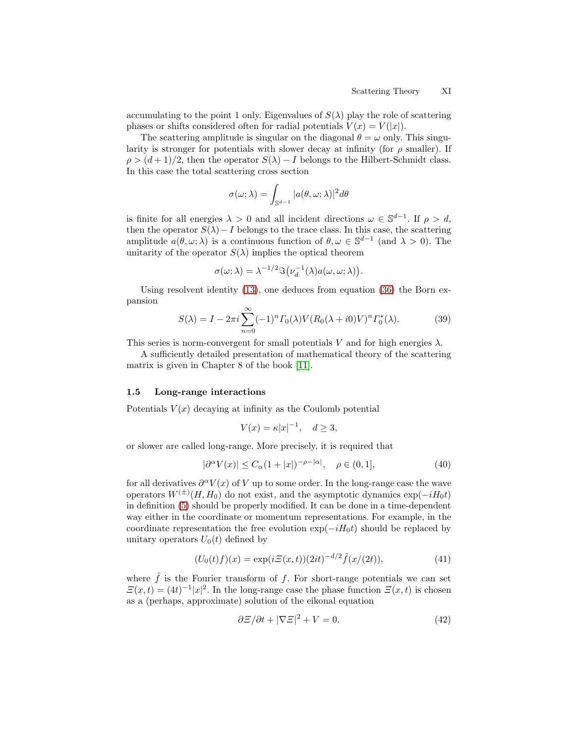accumulating to the point 1 only. Eigenvalues of  $S(\lambda)$  play the role of scattering phases or shifts considered often for radial potentials  $V(x) = V(|x|)$ .

The scattering amplitude is singular on the diagonal  $\theta = \omega$  only. This singularity is stronger for potentials with slower decay at infinity (for  $\rho$  smaller). If  $\rho > (d+1)/2$ , then the operator  $S(\lambda) - I$  belongs to the Hilbert-Schmidt class. In this case the total scattering cross section

$$
\sigma(\omega;\lambda)=\int_{\mathbb{S}^{d-1}}|a(\theta,\omega;\lambda)|^2d\theta
$$

is finite for all energies  $\lambda > 0$  and all incident directions  $\omega \in \mathbb{S}^{d-1}$ . If  $\rho > d$ , then the operator  $S(\lambda) - I$  belongs to the trace class. In this case, the scattering amplitude  $a(\theta, \omega; \lambda)$  is a continuous function of  $\theta, \omega \in \mathbb{S}^{d-1}$  (and  $\lambda > 0$ ). The unitarity of the operator  $S(\lambda)$  implies the optical theorem

$$
\sigma(\omega;\lambda) = \lambda^{-1/2} \Im(\nu_d^{-1}(\lambda) a(\omega,\omega;\lambda)).
$$

Using resolvent identity [\(13\)](#page-3-2), one deduces from equation [\(36\)](#page-8-1) the Born expansion

<span id="page-10-2"></span>
$$
S(\lambda) = I - 2\pi i \sum_{n=0}^{\infty} (-1)^n \Gamma_0(\lambda) V (R_0(\lambda + i0)V)^n \Gamma_0^*(\lambda).
$$
 (39)

This series is norm-convergent for small potentials V and for high energies  $\lambda$ .

A sufficiently detailed presentation of mathematical theory of the scattering matrix is given in Chapter 8 of the book [\[11\]](#page-28-3).

## 1.5 Long-range interactions

Potentials  $V(x)$  decaying at infinity as the Coulomb potential

$$
V(x) = \kappa |x|^{-1}, \quad d \ge 3,
$$

or slower are called long-range. More precisely, it is required that

<span id="page-10-0"></span>
$$
|\partial^{\alpha}V(x)| \le C_{\alpha}(1+|x|)^{-\rho-|\alpha|}, \quad \rho \in (0,1], \tag{40}
$$

for all derivatives  $\partial^{\alpha}V(x)$  of V up to some order. In the long-range case the wave operators  $W^{(\pm)}(H, H_0)$  do not exist, and the asymptotic dynamics  $\exp(-iH_0t)$ in definition [\(5\)](#page-1-1) should be properly modified. It can be done in a time-dependent way either in the coordinate or momentum representations. For example, in the coordinate representation the free evolution  $\exp(-iH_0t)$  should be replaced by unitary operators  $U_0(t)$  defined by

<span id="page-10-1"></span>
$$
(U_0(t)f)(x) = \exp(i\Xi(x,t))(2it)^{-d/2}\hat{f}(x/(2t)),
$$
\n(41)

where  $\hat{f}$  is the Fourier transform of f. For short-range potentials we can set  $\mathcal{Z}(x,t) = (4t)^{-1}|x|^2$ . In the long-range case the phase function  $\mathcal{Z}(x,t)$  is chosen as a (perhaps, approximate) solution of the eikonal equation

<span id="page-10-3"></span>
$$
\frac{\partial \mathcal{Z}}{\partial t} + |\nabla \mathcal{Z}|^2 + V = 0. \tag{42}
$$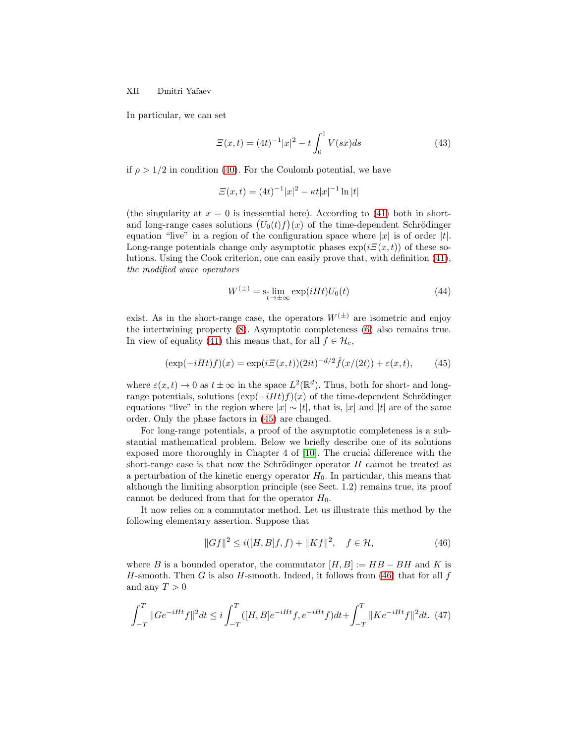XII Dmitri Yafaev

In particular, we can set

<span id="page-11-4"></span>
$$
\Xi(x,t) = (4t)^{-1}|x|^2 - t \int_0^1 V(sx)ds \tag{43}
$$

if  $\rho > 1/2$  in condition [\(40\)](#page-10-0). For the Coulomb potential, we have

$$
\Xi(x,t) = (4t)^{-1}|x|^2 - \kappa t |x|^{-1} \ln|t|
$$

(the singularity at  $x = 0$  is inessential here). According to [\(41\)](#page-10-1) both in shortand long-range cases solutions  $(U_0(t)f)(x)$  of the time-dependent Schrödinger equation "live" in a region of the configuration space where  $|x|$  is of order  $|t|$ . Long-range potentials change only asymptotic phases  $\exp(i\Xi(x,t))$  of these solutions. Using the Cook criterion, one can easily prove that, with definition [\(41\)](#page-10-1), the modified wave operators

<span id="page-11-3"></span>
$$
W^{(\pm)} = \mathbf{s}_{\substack{t \to \pm \infty}} \exp(iHt)U_0(t) \tag{44}
$$

exist. As in the short-range case, the operators  $W^{(\pm)}$  are isometric and enjoy the intertwining property [\(8\)](#page-2-1). Asymptotic completeness [\(6\)](#page-1-2) also remains true. In view of equality [\(41\)](#page-10-1) this means that, for all  $f \in \mathcal{H}_c$ ,

<span id="page-11-0"></span>
$$
(\exp(-iHt)f)(x) = \exp(i\Xi(x,t))(2it)^{-d/2}\hat{f}(x/(2t)) + \varepsilon(x,t),\tag{45}
$$

where  $\varepsilon(x,t) \to 0$  as  $t \pm \infty$  in the space  $L^2(\mathbb{R}^d)$ . Thus, both for short- and longrange potentials, solutions  $(\exp(-iHt)f)(x)$  of the time-dependent Schrödinger equations "live" in the region where  $|x| \sim |t|$ , that is,  $|x|$  and  $|t|$  are of the same order. Only the phase factors in [\(45\)](#page-11-0) are changed.

For long-range potentials, a proof of the asymptotic completeness is a substantial mathematical problem. Below we briefly describe one of its solutions exposed more thoroughly in Chapter 4 of [\[10\]](#page-28-4). The crucial difference with the short-range case is that now the Schrödinger operator  $H$  cannot be treated as a perturbation of the kinetic energy operator  $H_0$ . In particular, this means that although the limiting absorption principle (see Sect. 1.2) remains true, its proof cannot be deduced from that for the operator  $H_0$ .

It now relies on a commutator method. Let us illustrate this method by the following elementary assertion. Suppose that

<span id="page-11-1"></span>
$$
||Gf||^2 \le i(|H, B|f, f) + ||Kf||^2, \quad f \in \mathcal{H}, \tag{46}
$$

where B is a bounded operator, the commutator  $[H, B] := HB - BH$  and K is H-smooth. Then G is also H-smooth. Indeed, it follows from [\(46\)](#page-11-1) that for all f and any  $T > 0$ 

<span id="page-11-2"></span>
$$
\int_{-T}^{T} \|Ge^{-iHt}f\|^2 dt \leq i \int_{-T}^{T} ([H,B]e^{-iHt}f, e^{-iHt}f)dt + \int_{-T}^{T} \|Ke^{-iHt}f\|^2 dt. \tag{47}
$$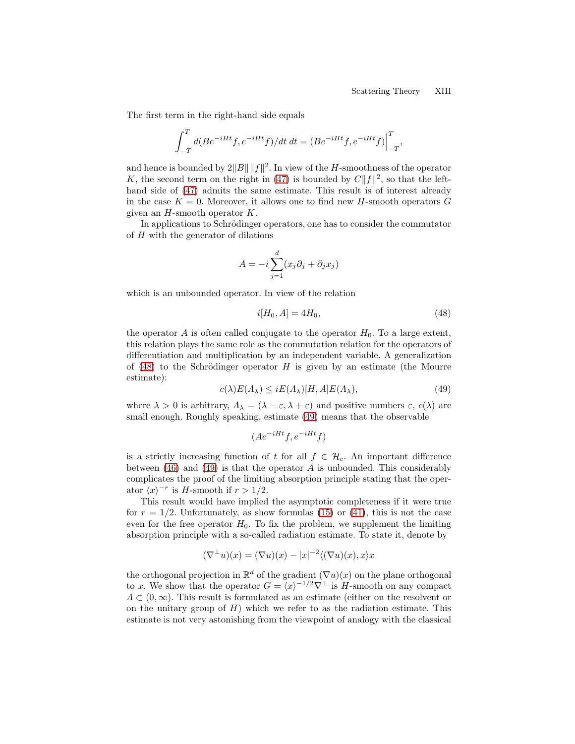The first term in the right-hand side equals

$$
\int_{-T}^{T} d(Be^{-iHt}f, e^{-iHt}f)/dt \, dt = (Be^{-iHt}f, e^{-iHt}f)\Big|_{-T}^{T},
$$

and hence is bounded by  $2||B|| ||f||^2$ . In view of the H-smoothness of the operator K, the second term on the right in [\(47\)](#page-11-2) is bounded by  $C||f||^2$ , so that the lefthand side of [\(47\)](#page-11-2) admits the same estimate. This result is of interest already in the case  $K = 0$ . Moreover, it allows one to find new H-smooth operators G given an  $H$ -smooth operator  $K$ .

In applications to Schrödinger operators, one has to consider the commutator of H with the generator of dilations

$$
A = -i \sum_{j=1}^{d} (x_j \partial_j + \partial_j x_j)
$$

which is an unbounded operator. In view of the relation

<span id="page-12-0"></span>
$$
i[H_0, A] = 4H_0,\t\t(48)
$$

the operator  $A$  is often called conjugate to the operator  $H_0$ . To a large extent, this relation plays the same role as the commutation relation for the operators of differentiation and multiplication by an independent variable. A generalization of  $(48)$  to the Schrödinger operator H is given by an estimate (the Mourre estimate):

<span id="page-12-1"></span>
$$
c(\lambda)E(\Lambda_{\lambda}) \leq iE(\Lambda_{\lambda})[H, A]E(\Lambda_{\lambda}), \tag{49}
$$

where  $\lambda > 0$  is arbitrary,  $\Lambda_{\lambda} = (\lambda - \varepsilon, \lambda + \varepsilon)$  and positive numbers  $\varepsilon$ ,  $c(\lambda)$  are small enough. Roughly speaking, estimate [\(49\)](#page-12-1) means that the observable

$$
(Ae^{-iHt}f, e^{-iHt}f)
$$

is a strictly increasing function of t for all  $f \in \mathcal{H}_c$ . An important difference between  $(46)$  and  $(49)$  is that the operator A is unbounded. This considerably complicates the proof of the limiting absorption principle stating that the operator  $\langle x \rangle^{-r}$  is H-smooth if  $r > 1/2$ .

This result would have implied the asymptotic completeness if it were true for  $r = 1/2$ . Unfortunately, as show formulas [\(15\)](#page-3-4) or [\(41\)](#page-10-1), this is not the case even for the free operator  $H_0$ . To fix the problem, we supplement the limiting absorption principle with a so-called radiation estimate. To state it, denote by

$$
(\nabla^{\perp} u)(x) = (\nabla u)(x) - |x|^{-2} \langle (\nabla u)(x), x \rangle x
$$

the orthogonal projection in  $\mathbb{R}^d$  of the gradient  $(\nabla u)(x)$  on the plane orthogonal to x. We show that the operator  $G = \langle x \rangle^{-1/2} \nabla^{\perp}$  is H-smooth on any compact  $\Lambda \subset (0,\infty)$ . This result is formulated as an estimate (either on the resolvent or on the unitary group of  $H$ ) which we refer to as the radiation estimate. This estimate is not very astonishing from the viewpoint of analogy with the classical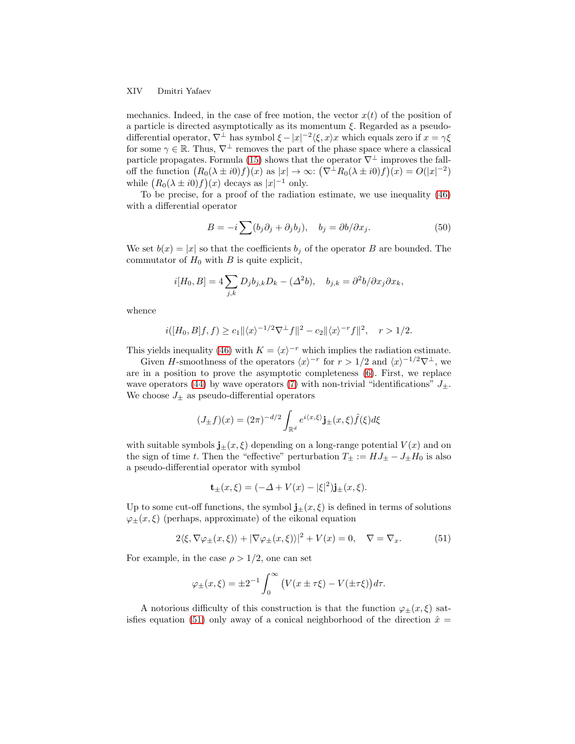#### XIV Dmitri Yafaev

mechanics. Indeed, in the case of free motion, the vector  $x(t)$  of the position of a particle is directed asymptotically as its momentum  $\xi$ . Regarded as a pseudodifferential operator,  $\nabla^{\perp}$  has symbol  $\xi - |x|^{-2} \langle \xi, x \rangle x$  which equals zero if  $x = \gamma \xi$ for some  $\gamma \in \mathbb{R}$ . Thus,  $\nabla^{\perp}$  removes the part of the phase space where a classical particle propagates. Formula [\(15\)](#page-3-4) shows that the operator  $\nabla^{\perp}$  improves the falloff the function  $(R_0(\lambda \pm i0)f)(x)$  as  $|x| \to \infty$ :  $(\nabla^{\perp}R_0(\lambda \pm i0)f)(x) = O(|x|^{-2})$ while  $(R_0(\lambda \pm i0)f)(x)$  decays as  $|x|^{-1}$  only.

To be precise, for a proof of the radiation estimate, we use inequality [\(46\)](#page-11-1) with a differential operator

<span id="page-13-1"></span>
$$
B = -i \sum (b_j \partial_j + \partial_j b_j), \quad b_j = \partial b / \partial x_j.
$$
 (50)

We set  $b(x) = |x|$  so that the coefficients  $b_i$  of the operator B are bounded. The commutator of  $H_0$  with B is quite explicit,

$$
i[H_0, B] = 4 \sum_{j,k} D_j b_{j,k} D_k - (\Delta^2 b), \quad b_{j,k} = \partial^2 b / \partial x_j \partial x_k,
$$

whence

$$
i([H_0, B]f, f) \ge c_1 ||\langle x \rangle^{-1/2} \nabla^{\perp} f||^2 - c_2 ||\langle x \rangle^{-r} f||^2, \quad r > 1/2.
$$

This yields inequality [\(46\)](#page-11-1) with  $K = \langle x \rangle^{-r}$  which implies the radiation estimate.

Given H-smoothness of the operators  $\langle x \rangle^{-r}$  for  $r > 1/2$  and  $\langle x \rangle^{-1/2} \nabla^{\perp}$ , we are in a position to prove the asymptotic completeness [\(6\)](#page-1-2). First, we replace wave operators [\(44\)](#page-11-3) by wave operators [\(7\)](#page-2-2) with non-trivial "identifications"  $J_{\pm}$ . We choose  $J_{\pm}$  as pseudo-differential operators

$$
(J_{\pm}f)(x) = (2\pi)^{-d/2} \int_{\mathbb{R}^d} e^{i\langle x,\xi\rangle} \mathbf{j}_{\pm}(x,\xi) \hat{f}(\xi) d\xi
$$

with suitable symbols  $\mathbf{j}_{\pm}(x,\xi)$  depending on a long-range potential  $V(x)$  and on the sign of time t. Then the "effective" perturbation  $T_{\pm} := HJ_{\pm} - J_{\pm}H_0$  is also a pseudo-differential operator with symbol

$$
\mathbf{t}_{\pm}(x,\xi) = (-\Delta + V(x) - |\xi|^2)\mathbf{j}_{\pm}(x,\xi).
$$

Up to some cut-off functions, the symbol  $\mathbf{j}_{\pm}(x,\xi)$  is defined in terms of solutions  $\varphi_{\pm}(x,\xi)$  (perhaps, approximate) of the eikonal equation

<span id="page-13-0"></span>
$$
2\langle \xi, \nabla \varphi_{\pm}(x,\xi) \rangle + |\nabla \varphi_{\pm}(x,\xi) \rangle|^2 + V(x) = 0, \quad \nabla = \nabla_x. \tag{51}
$$

For example, in the case  $\rho > 1/2$ , one can set

$$
\varphi_{\pm}(x,\xi) = \pm 2^{-1} \int_0^{\infty} \left( V(x \pm \tau \xi) - V(\pm \tau \xi) \right) d\tau.
$$

A notorious difficulty of this construction is that the function  $\varphi_{\pm}(x,\xi)$  sat-isfies equation [\(51\)](#page-13-0) only away of a conical neighborhood of the direction  $\hat{x} =$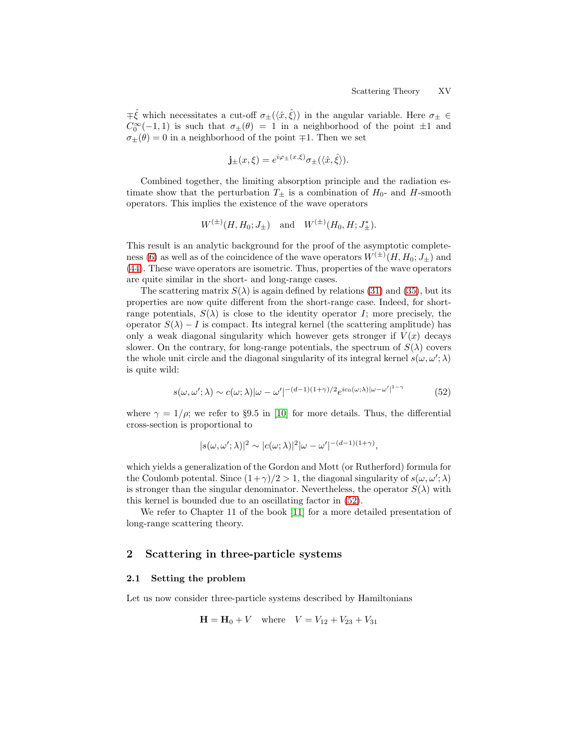$\pm \hat{\xi}$  which necessitates a cut-off  $\sigma_{\pm}(\langle \hat{x}, \hat{\xi} \rangle)$  in the angular variable. Here  $\sigma_{\pm} \in$  $C_0^{\infty}(-1,1)$  is such that  $\sigma_{\pm}(\theta) = 1$  in a neighborhood of the point  $\pm 1$  and  $\sigma_{\pm}(\theta)=0$  in a neighborhood of the point  $\mp 1.$  Then we set

$$
\mathbf{j}_{\pm}(x,\xi) = e^{i\varphi_{\pm}(x,\xi)}\sigma_{\pm}(\langle \hat{x}, \hat{\xi} \rangle).
$$

Combined together, the limiting absorption principle and the radiation estimate show that the perturbation  $T_+$  is a combination of  $H_0$ - and H-smooth operators. This implies the existence of the wave operators

$$
W^{(\pm)}(H, H_0; J_{\pm})
$$
 and  $W^{(\pm)}(H_0, H; J_{\pm}^*)$ .

This result is an analytic background for the proof of the asymptotic complete-ness [\(6\)](#page-1-2) as well as of the coincidence of the wave operators  $W^{(\pm)}(H, H_0; J_{\pm})$  and [\(44\)](#page-11-3). These wave operators are isometric. Thus, properties of the wave operators are quite similar in the short- and long-range cases.

The scattering matrix  $S(\lambda)$  is again defined by relations [\(31\)](#page-7-1) and [\(35\)](#page-8-4), but its properties are now quite different from the short-range case. Indeed, for shortrange potentials,  $S(\lambda)$  is close to the identity operator I; more precisely, the operator  $S(\lambda) - I$  is compact. Its integral kernel (the scattering amplitude) has only a weak diagonal singularity which however gets stronger if  $V(x)$  decays slower. On the contrary, for long-range potentials, the spectrum of  $S(\lambda)$  covers the whole unit circle and the diagonal singularity of its integral kernel  $s(\omega, \omega'; \lambda)$ is quite wild:

<span id="page-14-0"></span>
$$
s(\omega, \omega'; \lambda) \sim c(\omega; \lambda) |\omega - \omega'|^{-(d-1)(1+\gamma)/2} e^{ic_0(\omega; \lambda) |\omega - \omega'|^{1-\gamma}}
$$
(52)

where  $\gamma = 1/\rho$ ; we refer to §9.5 in [\[10\]](#page-28-4) for more details. Thus, the differential cross-section is proportional to

$$
|s(\omega, \omega'; \lambda)|^2 \sim |c(\omega; \lambda)|^2 |\omega - \omega'|^{-(d-1)(1+\gamma)},
$$

which yields a generalization of the Gordon and Mott (or Rutherford) formula for the Coulomb potental. Since  $(1+\gamma)/2 > 1$ , the diagonal singularity of  $s(\omega, \omega'; \lambda)$ is stronger than the singular denominator. Nevertheless, the operator  $S(\lambda)$  with this kernel is bounded due to an oscillating factor in [\(52\)](#page-14-0).

We refer to Chapter 11 of the book [\[11\]](#page-28-3) for a more detailed presentation of long-range scattering theory.

# 2 Scattering in three-particle systems

## 2.1 Setting the problem

Let us now consider three-particle systems described by Hamiltonians

$$
\mathbf{H} = \mathbf{H}_0 + V \quad \text{where} \quad V = V_{12} + V_{23} + V_{31}
$$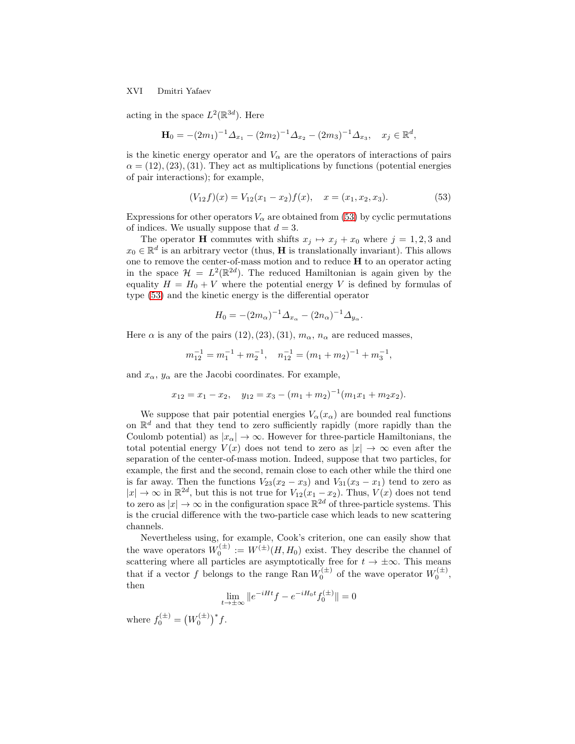#### XVI Dmitri Yafaev

acting in the space  $L^2(\mathbb{R}^{3d})$ . Here

$$
\mathbf{H}_0 = -(2m_1)^{-1} \Delta_{x_1} - (2m_2)^{-1} \Delta_{x_2} - (2m_3)^{-1} \Delta_{x_3}, \quad x_j \in \mathbb{R}^d,
$$

is the kinetic energy operator and  $V_{\alpha}$  are the operators of interactions of pairs  $\alpha = (12), (23), (31)$ . They act as multiplications by functions (potential energies of pair interactions); for example,

<span id="page-15-0"></span>
$$
(V_{12}f)(x) = V_{12}(x_1 - x_2)f(x), \quad x = (x_1, x_2, x_3). \tag{53}
$$

Expressions for other operators  $V_{\alpha}$  are obtained from [\(53\)](#page-15-0) by cyclic permutations of indices. We usually suppose that  $d = 3$ .

The operator **H** commutes with shifts  $x_j \mapsto x_j + x_0$  where  $j = 1, 2, 3$  and  $x_0 \in \mathbb{R}^d$  is an arbitrary vector (thus, **H** is translationally invariant). This allows one to remove the center-of-mass motion and to reduce H to an operator acting in the space  $\mathcal{H} = L^2(\mathbb{R}^{2d})$ . The reduced Hamiltonian is again given by the equality  $H = H_0 + V$  where the potential energy V is defined by formulas of type [\(53\)](#page-15-0) and the kinetic energy is the differential operator

$$
H_0 = -(2m_\alpha)^{-1} \Delta_{x_\alpha} - (2n_\alpha)^{-1} \Delta_{y_\alpha}.
$$

Here  $\alpha$  is any of the pairs (12), (23), (31),  $m_{\alpha}$ ,  $n_{\alpha}$  are reduced masses,

$$
m_{12}^{-1} = m_1^{-1} + m_2^{-1}, \quad n_{12}^{-1} = (m_1 + m_2)^{-1} + m_3^{-1},
$$

and  $x_{\alpha}$ ,  $y_{\alpha}$  are the Jacobi coordinates. For example,

$$
x_{12} = x_1 - x_2
$$
,  $y_{12} = x_3 - (m_1 + m_2)^{-1}(m_1x_1 + m_2x_2)$ .

We suppose that pair potential energies  $V_\alpha(x_\alpha)$  are bounded real functions on  $\mathbb{R}^d$  and that they tend to zero sufficiently rapidly (more rapidly than the Coulomb potential) as  $|x_{\alpha}| \to \infty$ . However for three-particle Hamiltonians, the total potential energy  $V(x)$  does not tend to zero as  $|x| \to \infty$  even after the separation of the center-of-mass motion. Indeed, suppose that two particles, for example, the first and the second, remain close to each other while the third one is far away. Then the functions  $V_{23}(x_2 - x_3)$  and  $V_{31}(x_3 - x_1)$  tend to zero as  $|x| \to \infty$  in  $\mathbb{R}^{2d}$ , but this is not true for  $V_{12}(x_1 - x_2)$ . Thus,  $V(x)$  does not tend to zero as  $|x| \to \infty$  in the configuration space  $\mathbb{R}^{2d}$  of three-particle systems. This is the crucial difference with the two-particle case which leads to new scattering channels.

Nevertheless using, for example, Cook's criterion, one can easily show that the wave operators  $W_0^{(\pm)} := W^{(\pm)}(H, H_0)$  exist. They describe the channel of scattering where all particles are asymptotically free for  $t \to \pm \infty$ . This means that if a vector f belongs to the range Ran  $W_0^{(\pm)}$  of the wave operator  $W_0^{(\pm)}$ , then

$$
\lim_{t \to \pm \infty} \|e^{-iHt} f - e^{-iH_0 t} f_0^{(\pm)}\| = 0
$$

where  $f_0^{(\pm)} = (W_0^{(\pm)})^* f$ .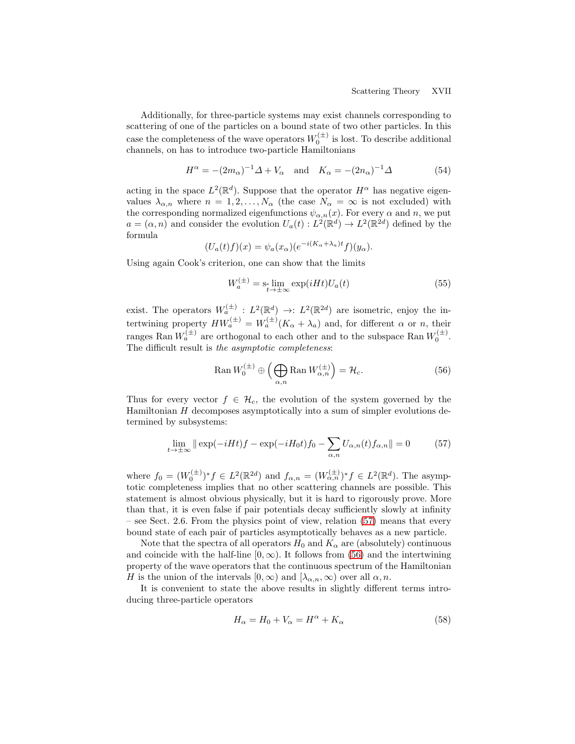Additionally, for three-particle systems may exist channels corresponding to scattering of one of the particles on a bound state of two other particles. In this case the completeness of the wave operators  $W_0^{(\pm)}$  is lost. To describe additional channels, on has to introduce two-particle Hamiltonians

<span id="page-16-2"></span>
$$
H^{\alpha} = -(2m_{\alpha})^{-1} \Delta + V_{\alpha} \quad \text{and} \quad K_{\alpha} = -(2n_{\alpha})^{-1} \Delta \tag{54}
$$

acting in the space  $L^2(\mathbb{R}^d)$ . Suppose that the operator  $H^{\alpha}$  has negative eigenvalues  $\lambda_{\alpha,n}$  where  $n = 1, 2, ..., N_{\alpha}$  (the case  $N_{\alpha} = \infty$  is not excluded) with the corresponding normalized eigenfunctions  $\psi_{\alpha,n}(x)$ . For every  $\alpha$  and  $n$ , we put  $a = (\alpha, n)$  and consider the evolution  $U_a(t) : L^2(\mathbb{R}^d) \to L^2(\mathbb{R}^{2d})$  defined by the formula

$$
(U_a(t)f)(x) = \psi_a(x_\alpha)(e^{-i(K_\alpha + \lambda_a)t}f)(y_\alpha).
$$

Using again Cook's criterion, one can show that the limits

<span id="page-16-4"></span>
$$
W_a^{(\pm)} = \mathbf{s}_\text{t} \lim_{t \to \pm \infty} \exp(iHt) U_a(t) \tag{55}
$$

exist. The operators  $W_a^{(\pm)} : L^2(\mathbb{R}^d) \to L^2(\mathbb{R}^{2d})$  are isometric, enjoy the intertwining property  $HW_a^{(\pm)} = W_a^{(\pm)}(K_\alpha + \lambda_a)$  and, for different  $\alpha$  or n, their ranges Ran  $W_a^{(\pm)}$  are orthogonal to each other and to the subspace Ran  $W_0^{(\pm)}$ . The difficult result is the asymptotic completeness:

<span id="page-16-1"></span>
$$
\operatorname{Ran} W_0^{(\pm)} \oplus \left( \bigoplus_{\alpha,n} \operatorname{Ran} W_{\alpha,n}^{(\pm)} \right) = \mathcal{H}_c. \tag{56}
$$

Thus for every vector  $f \in \mathcal{H}_c$ , the evolution of the system governed by the Hamiltonian H decomposes asymptotically into a sum of simpler evolutions determined by subsystems:

<span id="page-16-0"></span>
$$
\lim_{t \to \pm \infty} \|\exp(-iHt)f - \exp(-iH_0t)f_0 - \sum_{\alpha, n} U_{\alpha, n}(t)f_{\alpha, n}\| = 0 \tag{57}
$$

where  $f_0 = (W_0^{(\pm)})^* f \in L^2(\mathbb{R}^{2d})$  and  $f_{\alpha,n} = (W_{\alpha,n}^{(\pm)})^* f \in L^2(\mathbb{R}^d)$ . The asymptotic completeness implies that no other scattering channels are possible. This statement is almost obvious physically, but it is hard to rigorously prove. More than that, it is even false if pair potentials decay sufficiently slowly at infinity – see Sect. 2.6. From the physics point of view, relation [\(57\)](#page-16-0) means that every bound state of each pair of particles asymptotically behaves as a new particle.

Note that the spectra of all operators  $H_0$  and  $K_\alpha$  are (absolutely) continuous and coincide with the half-line  $[0, \infty)$ . It follows from [\(56\)](#page-16-1) and the intertwining property of the wave operators that the continuous spectrum of the Hamiltonian H is the union of the intervals  $[0, \infty)$  and  $[\lambda_{\alpha,n}, \infty)$  over all  $\alpha, n$ .

It is convenient to state the above results in slightly different terms introducing three-particle operators

<span id="page-16-3"></span>
$$
H_{\alpha} = H_0 + V_{\alpha} = H^{\alpha} + K_{\alpha} \tag{58}
$$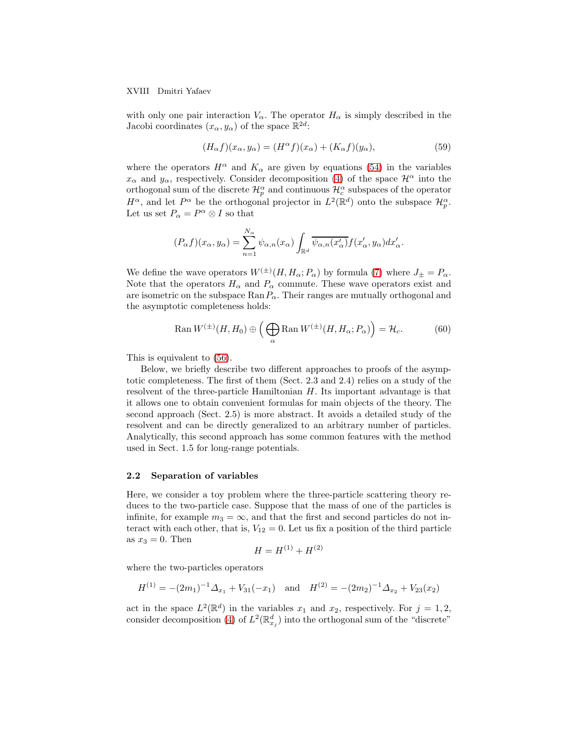XVIII Dmitri Yafaev

with only one pair interaction  $V_{\alpha}$ . The operator  $H_{\alpha}$  is simply described in the Jacobi coordinates  $(x_{\alpha}, y_{\alpha})$  of the space  $\mathbb{R}^{2d}$ :

<span id="page-17-0"></span>
$$
(H_{\alpha}f)(x_{\alpha}, y_{\alpha}) = (H^{\alpha}f)(x_{\alpha}) + (K_{\alpha}f)(y_{\alpha}), \qquad (59)
$$

where the operators  $H^{\alpha}$  and  $K_{\alpha}$  are given by equations [\(54\)](#page-16-2) in the variables  $x_{\alpha}$  and  $y_{\alpha}$ , respectively. Consider decomposition [\(4\)](#page-1-3) of the space  $\mathcal{H}^{\alpha}$  into the orthogonal sum of the discrete  $\mathcal{H}_p^{\alpha}$  and continuous  $\mathcal{H}_c^{\alpha}$  subspaces of the operator  $H^{\alpha}$ , and let  $P^{\alpha}$  be the orthogonal projector in  $L^2(\mathbb{R}^d)$  onto the subspace  $\mathcal{H}_p^{\alpha}$ . Let us set  $P_{\alpha} = P^{\alpha} \otimes I$  so that

$$
(P_{\alpha}f)(x_{\alpha}, y_{\alpha}) = \sum_{n=1}^{N_{\alpha}} \psi_{\alpha, n}(x_{\alpha}) \int_{\mathbb{R}^d} \overline{\psi_{\alpha, n}(x_{\alpha}')} f(x_{\alpha}', y_{\alpha}) dx_{\alpha}'.
$$

We define the wave operators  $W^{(\pm)}(H, H_{\alpha}; P_{\alpha})$  by formula [\(7\)](#page-2-2) where  $J_{\pm} = P_{\alpha}$ . Note that the operators  $H_{\alpha}$  and  $P_{\alpha}$  commute. These wave operators exist and are isometric on the subspace  $\text{Ran}P_{\alpha}$ . Their ranges are mutually orthogonal and the asymptotic completeness holds:

<span id="page-17-1"></span>
$$
\operatorname{Ran} W^{(\pm)}(H, H_0) \oplus \left( \bigoplus_{\alpha} \operatorname{Ran} W^{(\pm)}(H, H_{\alpha}; P_{\alpha}) \right) = \mathcal{H}_c. \tag{60}
$$

This is equivalent to [\(56\)](#page-16-1).

Below, we briefly describe two different approaches to proofs of the asymptotic completeness. The first of them (Sect. 2.3 and 2.4) relies on a study of the resolvent of the three-particle Hamiltonian  $H$ . Its important advantage is that it allows one to obtain convenient formulas for main objects of the theory. The second approach (Sect. 2.5) is more abstract. It avoids a detailed study of the resolvent and can be directly generalized to an arbitrary number of particles. Analytically, this second approach has some common features with the method used in Sect. 1.5 for long-range potentials.

## 2.2 Separation of variables

Here, we consider a toy problem where the three-particle scattering theory reduces to the two-particle case. Suppose that the mass of one of the particles is infinite, for example  $m_3 = \infty$ , and that the first and second particles do not interact with each other, that is,  $V_{12} = 0$ . Let us fix a position of the third particle as  $x_3 = 0$ . Then

$$
H = H^{(1)} + H^{(2)}
$$

where the two-particles operators

$$
H^{(1)} = -(2m_1)^{-1} \Delta_{x_1} + V_{31}(-x_1) \text{ and } H^{(2)} = -(2m_2)^{-1} \Delta_{x_2} + V_{23}(x_2)
$$

act in the space  $L^2(\mathbb{R}^d)$  in the variables  $x_1$  and  $x_2$ , respectively. For  $j = 1, 2$ , consider decomposition [\(4\)](#page-1-3) of  $L^2(\mathbb{R}^d_{x_j})$  into the orthogonal sum of the "discrete"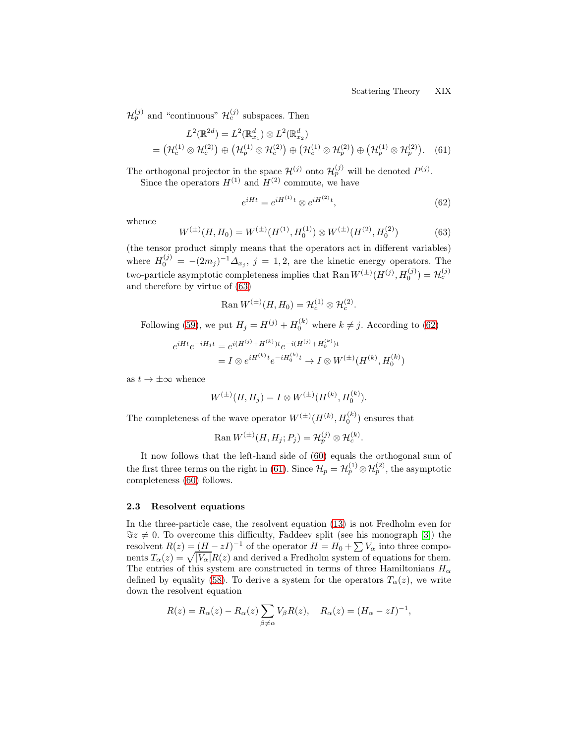$\mathcal{H}_p^{(j)}$  and "continuous"  $\mathcal{H}_c^{(j)}$  subspaces. Then

<span id="page-18-2"></span>
$$
L^{2}(\mathbb{R}^{2d}) = L^{2}(\mathbb{R}_{x_{1}}^{d}) \otimes L^{2}(\mathbb{R}_{x_{2}}^{d})
$$
  
=  $(\mathcal{H}_{c}^{(1)} \otimes \mathcal{H}_{c}^{(2)}) \oplus (\mathcal{H}_{p}^{(1)} \otimes \mathcal{H}_{c}^{(2)}) \oplus (\mathcal{H}_{c}^{(1)} \otimes \mathcal{H}_{p}^{(2)}) \oplus (\mathcal{H}_{p}^{(1)} \otimes \mathcal{H}_{p}^{(2)})$ . (61)

The orthogonal projector in the space  $\mathcal{H}^{(j)}$  onto  $\mathcal{H}_p^{(j)}$  will be denoted  $P^{(j)}$ . Since the operators  $H^{(1)}$  and  $H^{(2)}$  commute, we have

<span id="page-18-1"></span>
$$
e^{iHt} = e^{iH^{(1)}t} \otimes e^{iH^{(2)}t},\tag{62}
$$

whence

<span id="page-18-0"></span>
$$
W^{(\pm)}(H, H_0) = W^{(\pm)}(H^{(1)}, H_0^{(1)}) \otimes W^{(\pm)}(H^{(2)}, H_0^{(2)})
$$
(63)

(the tensor product simply means that the operators act in different variables) where  $H_0^{(j)} = -(2m_j)^{-1} \Delta_{x_j}, j = 1, 2$ , are the kinetic energy operators. The two-particle asymptotic completeness implies that Ran  $W^{(\pm)}(H^{(j)}, H_0^{(j)}) = \mathcal{H}_c^{(j)}$ and therefore by virtue of [\(63\)](#page-18-0)

$$
\operatorname{Ran} W^{(\pm)}(H, H_0) = \mathcal{H}_c^{(1)} \otimes \mathcal{H}_c^{(2)}.
$$

Following [\(59\)](#page-17-0), we put  $H_j = H^{(j)} + H_0^{(k)}$  where  $k \neq j$ . According to [\(62\)](#page-18-1)

$$
e^{iHt}e^{-iH_jt} = e^{i(H^{(j)} + H^{(k)})t}e^{-i(H^{(j)} + H_0^{(k)})t}
$$
  
=  $I \otimes e^{iH^{(k)}t}e^{-iH_0^{(k)}t} \to I \otimes W^{(\pm)}(H^{(k)}, H_0^{(k)})$ 

as  $t \to \pm \infty$  whence

$$
W^{(\pm)}(H, H_j) = I \otimes W^{(\pm)}(H^{(k)}, H_0^{(k)}).
$$

The completeness of the wave operator  $W^{(\pm)}(H^{(k)}, H_0^{(k)})$  ensures that

$$
\operatorname{Ran} W^{(\pm)}(H, H_j; P_j) = \mathcal{H}_p^{(j)} \otimes \mathcal{H}_c^{(k)}.
$$

It now follows that the left-hand side of [\(60\)](#page-17-1) equals the orthogonal sum of the first three terms on the right in [\(61\)](#page-18-2). Since  $\mathcal{H}_p = \mathcal{H}_p^{(1)} \otimes \mathcal{H}_p^{(2)}$ , the asymptotic completeness [\(60\)](#page-17-1) follows.

## 2.3 Resolvent equations

In the three-particle case, the resolvent equation [\(13\)](#page-3-2) is not Fredholm even for  $\Im z \neq 0$ . To overcome this difficulty, Faddeev split (see his monograph [\[3\]](#page-28-5)) the resolvent  $R(z) = (H - zI)^{-1}$  of the operator  $H = H_0 + \sum V_\alpha$  into three components  $T_{\alpha}(z) = \sqrt{|V_{\alpha}|}R(z)$  and derived a Fredholm system of equations for them. The entries of this system are constructed in terms of three Hamiltonians  $H_{\alpha}$ defined by equality [\(58\)](#page-16-3). To derive a system for the operators  $T_{\alpha}(z)$ , we write down the resolvent equation

$$
R(z) = R_{\alpha}(z) - R_{\alpha}(z) \sum_{\beta \neq \alpha} V_{\beta} R(z), \quad R_{\alpha}(z) = (H_{\alpha} - zI)^{-1},
$$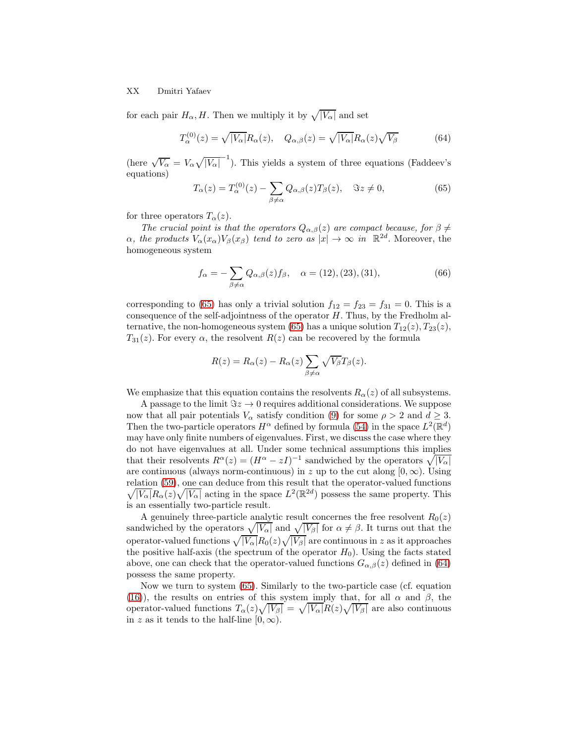#### XX Dmitri Yafaev

for each pair  $H_{\alpha}$ , H. Then we multiply it by  $\sqrt{|V_{\alpha}|}$  and set

<span id="page-19-1"></span>
$$
T_{\alpha}^{(0)}(z) = \sqrt{|V_{\alpha}|} R_{\alpha}(z), \quad Q_{\alpha,\beta}(z) = \sqrt{|V_{\alpha}|} R_{\alpha}(z) \sqrt{V_{\beta}}
$$
(64)

(here  $\sqrt{V_{\alpha}} = V_{\alpha} \sqrt{|V_{\alpha}|}^{-1}$ ). This yields a system of three equations (Faddeev's equations)

<span id="page-19-0"></span>
$$
T_{\alpha}(z) = T_{\alpha}^{(0)}(z) - \sum_{\beta \neq \alpha} Q_{\alpha,\beta}(z) T_{\beta}(z), \quad \Im z \neq 0,
$$
\n(65)

for three operators  $T_{\alpha}(z)$ .

The crucial point is that the operators  $Q_{\alpha,\beta}(z)$  are compact because, for  $\beta \neq$  $\alpha$ , the products  $V_{\alpha}(x_{\alpha})V_{\beta}(x_{\beta})$  tend to zero as  $|x| \to \infty$  in  $\mathbb{R}^{2d}$ . Moreover, the homogeneous system

<span id="page-19-2"></span>
$$
f_{\alpha} = -\sum_{\beta \neq \alpha} Q_{\alpha,\beta}(z) f_{\beta}, \quad \alpha = (12), (23), (31), \tag{66}
$$

corresponding to [\(65\)](#page-19-0) has only a trivial solution  $f_{12} = f_{23} = f_{31} = 0$ . This is a consequence of the self-adjointness of the operator  $H$ . Thus, by the Fredholm al-ternative, the non-homogeneous system [\(65\)](#page-19-0) has a unique solution  $T_{12}(z)$ ,  $T_{23}(z)$ ,  $T_{31}(z)$ . For every  $\alpha$ , the resolvent  $R(z)$  can be recovered by the formula

$$
R(z) = R_{\alpha}(z) - R_{\alpha}(z) \sum_{\beta \neq \alpha} \sqrt{V_{\beta}} T_{\beta}(z).
$$

We emphasize that this equation contains the resolvents  $R_{\alpha}(z)$  of all subsystems.

A passage to the limit  $\Im z \to 0$  requires additional considerations. We suppose now that all pair potentials  $V_{\alpha}$  satisfy condition [\(9\)](#page-2-0) for some  $\rho > 2$  and  $d \geq 3$ . Then the two-particle operators  $H^{\alpha}$  defined by formula [\(54\)](#page-16-2) in the space  $L^2(\mathbb{R}^d)$ may have only finite numbers of eigenvalues. First, we discuss the case where they do not have eigenvalues at all. Under some technical assumptions this implies that their resolvents  $R^{\alpha}(z) = (H^{\alpha} - zI)^{-1}$  sandwiched by the operators  $\sqrt{|V_{\alpha}|}$ are continuous (always norm-continuous) in z up to the cut along  $[0, \infty)$ . Using relation [\(59\)](#page-17-0), one can deduce from this result that the operator-valued functions  $\sqrt{|V_{\alpha}|}R_{\alpha}(z)\sqrt{|V_{\alpha}|}$  acting in the space  $L^2(\mathbb{R}^{2d})$  possess the same property. This is an essentially two-particle result.

A genuinely three-particle analytic result concernes the free resolvent  $R_0(z)$ sandwiched by the operators  $\sqrt{|V_{\alpha}|}$  and  $\sqrt{|V_{\beta}|}$  for  $\alpha \neq \beta$ . It turns out that the operator-valued functions  $\sqrt{|V_{\alpha}|}R_{0}(z)\sqrt{|V_{\beta}|}$  are continuous in  $z$  as it approaches the positive half-axis (the spectrum of the operator  $H_0$ ). Using the facts stated above, one can check that the operator-valued functions  $G_{\alpha,\beta}(z)$  defined in [\(64\)](#page-19-1) possess the same property.

Now we turn to system [\(65\)](#page-19-0). Similarly to the two-particle case (cf. equation [\(16\)](#page-4-0)), the results on entries of this system imply that, for all  $\alpha$  and  $\beta$ , the operator-valued functions  $T_{\alpha}(z)\sqrt{|V_{\beta}|} = \sqrt{|V_{\alpha}|}R(z)\sqrt{|V_{\beta}|}$  are also continuous in z as it tends to the half-line  $[0, \infty)$ .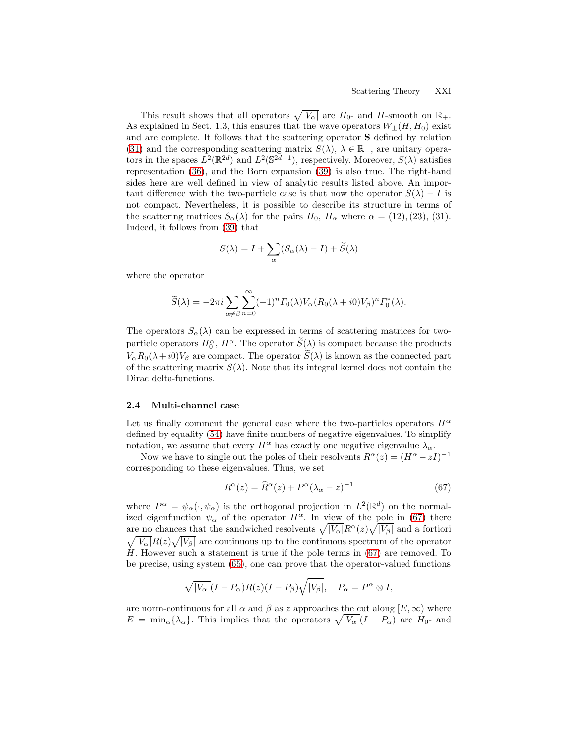This result shows that all operators  $\sqrt{|V_{\alpha}|}$  are  $H_0$ - and  $H$ -smooth on  $\mathbb{R}_+$ . As explained in Sect. 1.3, this ensures that the wave operators  $W_{\pm}(H, H_0)$  exist and are complete. It follows that the scattering operator S defined by relation [\(31\)](#page-7-1) and the corresponding scattering matrix  $S(\lambda)$ ,  $\lambda \in \mathbb{R}_+$ , are unitary operators in the spaces  $L^2(\mathbb{R}^{2d})$  and  $L^2(\mathbb{S}^{2d-1})$ , respectively. Moreover,  $S(\lambda)$  satisfies representation [\(36\)](#page-8-1), and the Born expansion [\(39\)](#page-10-2) is also true. The right-hand sides here are well defined in view of analytic results listed above. An important difference with the two-particle case is that now the operator  $S(\lambda) - I$  is not compact. Nevertheless, it is possible to describe its structure in terms of the scattering matrices  $S_{\alpha}(\lambda)$  for the pairs  $H_0$ ,  $H_{\alpha}$  where  $\alpha = (12), (23), (31)$ . Indeed, it follows from [\(39\)](#page-10-2) that

$$
S(\lambda) = I + \sum_{\alpha} (S_{\alpha}(\lambda) - I) + \widetilde{S}(\lambda)
$$

where the operator

$$
\widetilde{S}(\lambda) = -2\pi i \sum_{\alpha \neq \beta} \sum_{n=0}^{\infty} (-1)^n \Gamma_0(\lambda) V_{\alpha} (R_0(\lambda + i0) V_{\beta})^n \Gamma_0^*(\lambda).
$$

The operators  $S_{\alpha}(\lambda)$  can be expressed in terms of scattering matrices for twoparticle operators  $H_0^{\alpha}$ ,  $H^{\alpha}$ . The operator  $S(\lambda)$  is compact because the products  $V_{\alpha}R_0(\lambda+i0)V_{\beta}$  are compact. The operator  $\widetilde{S}(\lambda)$  is known as the connected part of the scattering matrix  $S(\lambda)$ . Note that its integral kernel does not contain the Dirac delta-functions.

#### 2.4 Multi-channel case

Let us finally comment the general case where the two-particles operators  $H^{\alpha}$ defined by equality [\(54\)](#page-16-2) have finite numbers of negative eigenvalues. To simplify notation, we assume that every  $H^{\alpha}$  has exactly one negative eigenvalue  $\lambda_{\alpha}$ .

Now we have to single out the poles of their resolvents  $R^{\alpha}(z) = (H^{\alpha} - zI)^{-1}$ corresponding to these eigenvalues. Thus, we set

<span id="page-20-0"></span>
$$
R^{\alpha}(z) = \widehat{R}^{\alpha}(z) + P^{\alpha}(\lambda_{\alpha} - z)^{-1}
$$
 (67)

where  $P^{\alpha} = \psi_{\alpha}(\cdot, \psi_{\alpha})$  is the orthogonal projection in  $L^2(\mathbb{R}^d)$  on the normalized eigenfunction  $\psi_{\alpha}$  of the operator  $H^{\alpha}$ . In view of the pole in [\(67\)](#page-20-0) there are no chances that the sandwiched resolvents  $\sqrt{|V_{\alpha}|}R^{\alpha}(z)\sqrt{|V_{\beta}|}$  and a fortiori  $\sqrt{|V_{\alpha}|}R(z)\sqrt{|V_{\beta}|}$  are continuous up to the continuous spectrum of the operator H. However such a statement is true if the pole terms in [\(67\)](#page-20-0) are removed. To be precise, using system [\(65\)](#page-19-0), one can prove that the operator-valued functions

$$
\sqrt{|V_{\alpha}|}(I - P_{\alpha})R(z)(I - P_{\beta})\sqrt{|V_{\beta}|}, \quad P_{\alpha} = P^{\alpha} \otimes I,
$$

are norm-continuous for all  $\alpha$  and  $\beta$  as z approaches the cut along  $[E,\infty)$  where  $E = \min_{\alpha} {\lambda_{\alpha}}$ . This implies that the operators  $\sqrt{|V_{\alpha}|}(I - P_{\alpha})$  are  $H_0$ - and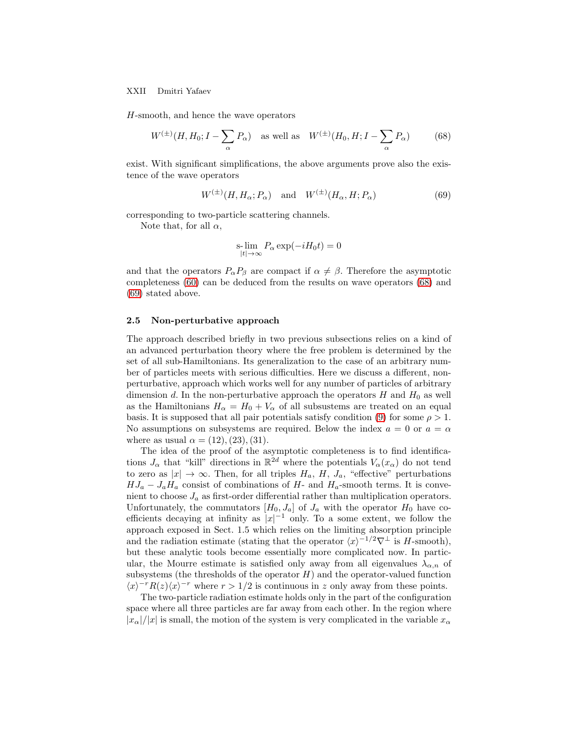#### XXII Dmitri Yafaev

H-smooth, and hence the wave operators

<span id="page-21-0"></span>
$$
W^{(\pm)}(H, H_0; I - \sum_{\alpha} P_{\alpha}) \quad \text{as well as} \quad W^{(\pm)}(H_0, H; I - \sum_{\alpha} P_{\alpha}) \tag{68}
$$

exist. With significant simplifications, the above arguments prove also the existence of the wave operators

<span id="page-21-1"></span>
$$
W^{(\pm)}(H, H_{\alpha}; P_{\alpha}) \quad \text{and} \quad W^{(\pm)}(H_{\alpha}, H; P_{\alpha}) \tag{69}
$$

corresponding to two-particle scattering channels.

Note that, for all  $\alpha$ ,

$$
\operatorname*{s-lim}_{|t|\to\infty} P_\alpha \exp(-iH_0t) = 0
$$

and that the operators  $P_{\alpha}P_{\beta}$  are compact if  $\alpha \neq \beta$ . Therefore the asymptotic completeness [\(60\)](#page-17-1) can be deduced from the results on wave operators [\(68\)](#page-21-0) and [\(69\)](#page-21-1) stated above.

#### 2.5 Non-perturbative approach

The approach described briefly in two previous subsections relies on a kind of an advanced perturbation theory where the free problem is determined by the set of all sub-Hamiltonians. Its generalization to the case of an arbitrary number of particles meets with serious difficulties. Here we discuss a different, nonperturbative, approach which works well for any number of particles of arbitrary dimension d. In the non-perturbative approach the operators  $H$  and  $H_0$  as well as the Hamiltonians  $H_{\alpha} = H_0 + V_{\alpha}$  of all subsustems are treated on an equal basis. It is supposed that all pair potentials satisfy condition [\(9\)](#page-2-0) for some  $\rho > 1$ . No assumptions on subsystems are required. Below the index  $a = 0$  or  $a = \alpha$ where as usual  $\alpha = (12), (23), (31)$ .

The idea of the proof of the asymptotic completeness is to find identifications  $J_{\alpha}$  that "kill" directions in  $\mathbb{R}^{\geq d}$  where the potentials  $V_{\alpha}(x_{\alpha})$  do not tend to zero as  $|x| \to \infty$ . Then, for all triples  $H_a$ ,  $H$ ,  $J_a$ , "effective" perturbations  $HJ_a - J_aH_a$  consist of combinations of H- and  $H_a$ -smooth terms. It is convenient to choose  $J_a$  as first-order differential rather than multiplication operators. Unfortunately, the commutators  $[H_0, J_a]$  of  $J_a$  with the operator  $H_0$  have coefficients decaying at infinity as  $|x|^{-1}$  only. To a some extent, we follow the approach exposed in Sect. 1.5 which relies on the limiting absorption principle and the radiation estimate (stating that the operator  $\langle x \rangle^{-1/2} \nabla^{\perp}$  is H-smooth), but these analytic tools become essentially more complicated now. In particular, the Mourre estimate is satisfied only away from all eigenvalues  $\lambda_{\alpha,n}$  of subsystems (the thresholds of the operator  $H$ ) and the operator-valued function  $\langle x \rangle^{-r} R(z) \langle x \rangle^{-r}$  where  $r > 1/2$  is continuous in z only away from these points.

The two-particle radiation estimate holds only in the part of the configuration space where all three particles are far away from each other. In the region where  $|x_\alpha|/|x|$  is small, the motion of the system is very complicated in the variable  $x_\alpha$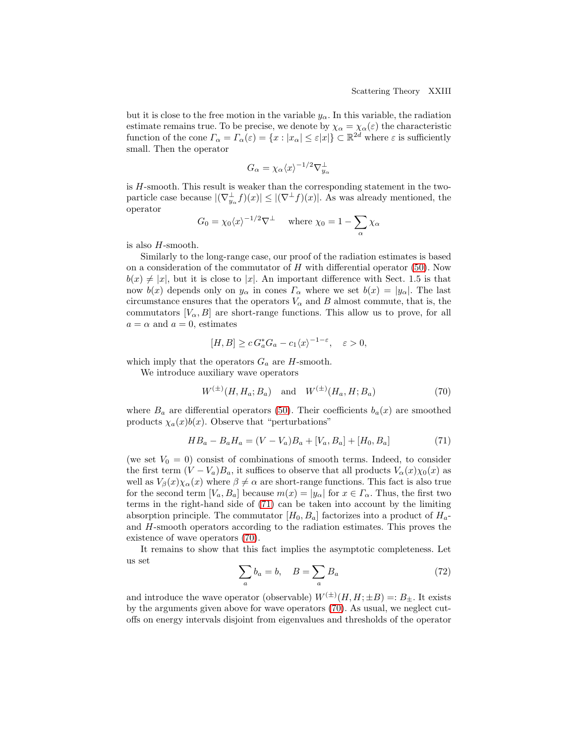but it is close to the free motion in the variable  $y_{\alpha}$ . In this variable, the radiation estimate remains true. To be precise, we denote by  $\chi_{\alpha} = \chi_{\alpha}(\varepsilon)$  the characteristic function of the cone  $\Gamma_{\alpha} = \Gamma_{\alpha}(\varepsilon) = \{x : |x_{\alpha}| \leq \varepsilon |x|\} \subset \mathbb{R}^{2d}$  where  $\varepsilon$  is sufficiently small. Then the operator

$$
G_{\alpha} = \chi_{\alpha} \langle x \rangle^{-1/2} \nabla_{y_{\alpha}}^{\perp}
$$

is H-smooth. This result is weaker than the corresponding statement in the twoparticle case because  $|(\nabla_{y_\alpha}^{\perp} f)(x)| \leq |(\nabla^{\perp} f)(x)|$ . As was already mentioned, the operator

$$
G_0 = \chi_0 \langle x \rangle^{-1/2} \nabla^{\perp} \quad \text{where } \chi_0 = 1 - \sum_{\alpha} \chi_{\alpha}
$$

is also  $H$ -smooth.

Similarly to the long-range case, our proof of the radiation estimates is based on a consideration of the commutator of  $H$  with differential operator [\(50\)](#page-13-1). Now  $b(x) \neq |x|$ , but it is close to |x|. An important difference with Sect. 1.5 is that now  $b(x)$  depends only on  $y_\alpha$  in cones  $\Gamma_\alpha$  where we set  $b(x) = |y_\alpha|$ . The last circumstance ensures that the operators  $V_{\alpha}$  and B almost commute, that is, the commutators  $[V_{\alpha}, B]$  are short-range functions. This allow us to prove, for all  $a = \alpha$  and  $a = 0$ , estimates

$$
[H, B] \ge c G_a^* G_a - c_1 \langle x \rangle^{-1-\varepsilon}, \quad \varepsilon > 0,
$$

which imply that the operators  $G_a$  are H-smooth.

We introduce auxiliary wave operators

<span id="page-22-1"></span>
$$
W^{(\pm)}(H, H_a; B_a)
$$
 and  $W^{(\pm)}(H_a, H; B_a)$  (70)

where  $B_a$  are differential operators [\(50\)](#page-13-1). Their coefficients  $b_a(x)$  are smoothed products  $\chi_a(x)b(x)$ . Observe that "perturbations"

<span id="page-22-0"></span>
$$
HB_a - B_aH_a = (V - V_a)B_a + [V_a, B_a] + [H_0, B_a]
$$
\n(71)

(we set  $V_0 = 0$ ) consist of combinations of smooth terms. Indeed, to consider the first term  $(V - V_a)B_a$ , it suffices to observe that all products  $V_\alpha(x)\chi_0(x)$  as well as  $V_\beta(x)\chi_\alpha(x)$  where  $\beta \neq \alpha$  are short-range functions. This fact is also true for the second term  $[V_a, B_a]$  because  $m(x) = |y_\alpha|$  for  $x \in \Gamma_\alpha$ . Thus, the first two terms in the right-hand side of [\(71\)](#page-22-0) can be taken into account by the limiting absorption principle. The commutator  $[H_0, B_a]$  factorizes into a product of  $H_a$ and H-smooth operators according to the radiation estimates. This proves the existence of wave operators [\(70\)](#page-22-1).

It remains to show that this fact implies the asymptotic completeness. Let us set

<span id="page-22-2"></span>
$$
\sum_{a} b_a = b, \quad B = \sum_{a} B_a \tag{72}
$$

and introduce the wave operator (observable)  $W^{(\pm)}(H, H; \pm B) =: B_{\pm}$ . It exists by the arguments given above for wave operators [\(70\)](#page-22-1). As usual, we neglect cutoffs on energy intervals disjoint from eigenvalues and thresholds of the operator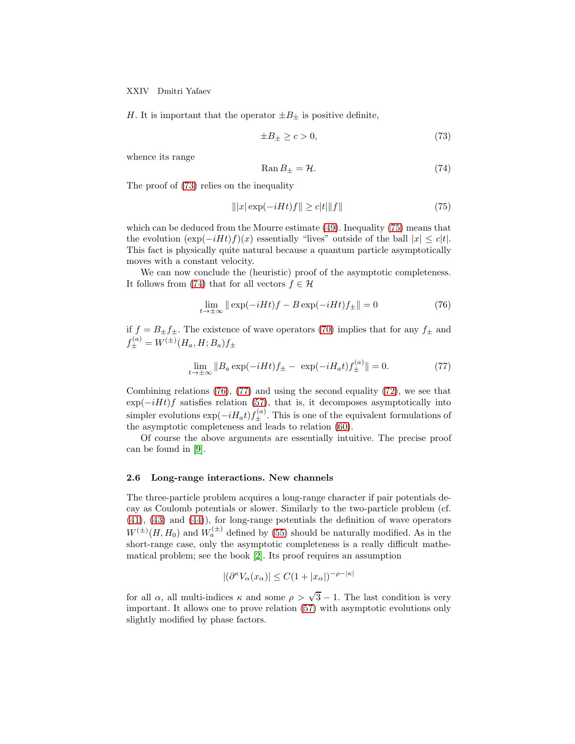XXIV Dmitri Yafaev

H. It is important that the operator  $\pm B_{\pm}$  is positive definite,

<span id="page-23-0"></span>
$$
\pm B_{\pm} \ge c > 0,\tag{73}
$$

whence its range

<span id="page-23-2"></span>
$$
Ran B_{\pm} = \mathcal{H}.\tag{74}
$$

The proof of [\(73\)](#page-23-0) relies on the inequality

<span id="page-23-1"></span>
$$
\| |x| \exp(-iHt) f \| \ge c|t| \|f\|
$$
\n(75)

which can be deduced from the Mourre estimate [\(49\)](#page-12-1). Inequality [\(75\)](#page-23-1) means that the evolution  $(\exp(-iHt)f)(x)$  essentially "lives" outside of the ball  $|x| \leq c|t|$ . This fact is physically quite natural because a quantum particle asymptotically moves with a constant velocity.

We can now conclude the (heuristic) proof of the asymptotic completeness. It follows from [\(74\)](#page-23-2) that for all vectors  $f \in \mathcal{H}$ 

<span id="page-23-3"></span>
$$
\lim_{t \to \pm \infty} \|\exp(-iHt)f - B\exp(-iHt)f_{\pm}\| = 0 \tag{76}
$$

if  $f = B_{\pm} f_{\pm}$ . The existence of wave operators [\(70\)](#page-22-1) implies that for any  $f_{\pm}$  and  $f_{\pm}^{(a)} = W^{(\pm)}(H_a, H; B_a) f_{\pm}$ 

<span id="page-23-4"></span>
$$
\lim_{t \to \pm \infty} \|B_a \exp(-iHt)f_{\pm} - \exp(-iH_a t)f_{\pm}^{(a)}\| = 0.
$$
 (77)

Combining relations [\(76\)](#page-23-3), [\(77\)](#page-23-4) and using the second equality [\(72\)](#page-22-2), we see that  $\exp(-iHt)f$  satisfies relation [\(57\)](#page-16-0), that is, it decomposes asymptotically into simpler evolutions  $\exp(-iH_a t) f_{\pm}^{(a)}$ . This is one of the equivalent formulations of the asymptotic completeness and leads to relation [\(60\)](#page-17-1).

Of course the above arguments are essentially intuitive. The precise proof can be found in [\[9\]](#page-28-6).

#### 2.6 Long-range interactions. New channels

The three-particle problem acquires a long-range character if pair potentials decay as Coulomb potentials or slower. Similarly to the two-particle problem (cf. [\(41\)](#page-10-1), [\(43\)](#page-11-4) and [\(44\)](#page-11-3)), for long-range potentials the definition of wave operators  $W^{(\pm)}(H, H_0)$  and  $W_a^{(\pm)}$  defined by [\(55\)](#page-16-4) should be naturally modified. As in the short-range case, only the asymptotic completeness is a really difficult mathematical problem; see the book [\[2\]](#page-28-7). Its proof requires an assumption

$$
|(\partial^{\kappa}V_{\alpha}(x_{\alpha})| \leq C(1+|x_{\alpha}|)^{-\rho-|\kappa|}
$$

for all  $\alpha$ , all multi-indices  $\kappa$  and some  $\rho > \sqrt{3} - 1$ . The last condition is very important. It allows one to prove relation [\(57\)](#page-16-0) with asymptotic evolutions only slightly modified by phase factors.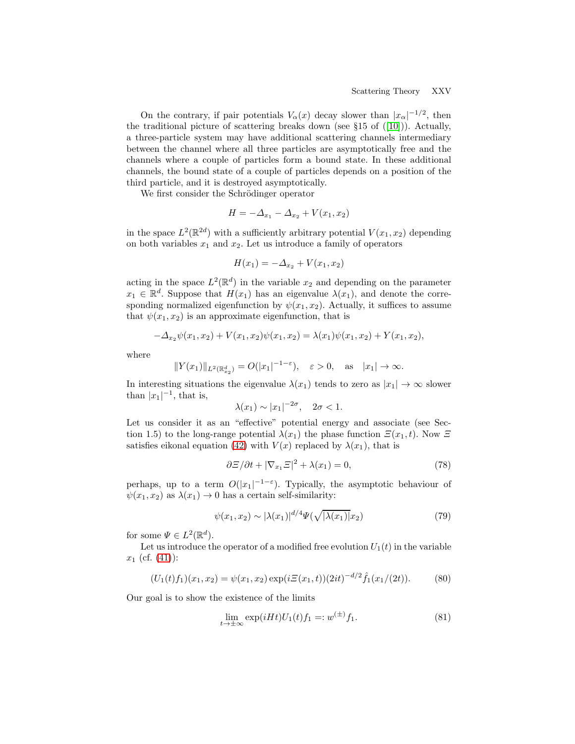On the contrary, if pair potentials  $V_{\alpha}(x)$  decay slower than  $|x_{\alpha}|^{-1/2}$ , then the traditional picture of scattering breaks down (see  $\S15$  of ([\[10\]](#page-28-4))). Actually, a three-particle system may have additional scattering channels intermediary between the channel where all three particles are asymptotically free and the channels where a couple of particles form a bound state. In these additional channels, the bound state of a couple of particles depends on a position of the third particle, and it is destroyed asymptotically.

We first consider the Schrödinger operator

$$
H = -\Delta_{x_1} - \Delta_{x_2} + V(x_1, x_2)
$$

in the space  $L^2(\mathbb{R}^{2d})$  with a sufficiently arbitrary potential  $V(x_1, x_2)$  depending on both variables  $x_1$  and  $x_2$ . Let us introduce a family of operators

$$
H(x_1) = -\Delta_{x_2} + V(x_1, x_2)
$$

acting in the space  $L^2(\mathbb{R}^d)$  in the variable  $x_2$  and depending on the parameter  $x_1 \in \mathbb{R}^d$ . Suppose that  $H(x_1)$  has an eigenvalue  $\lambda(x_1)$ , and denote the corresponding normalized eigenfunction by  $\psi(x_1, x_2)$ . Actually, it suffices to assume that  $\psi(x_1, x_2)$  is an approximate eigenfunction, that is

$$
-\Delta_{x_2}\psi(x_1,x_2) + V(x_1,x_2)\psi(x_1,x_2) = \lambda(x_1)\psi(x_1,x_2) + Y(x_1,x_2),
$$

where

$$
||Y(x_1)||_{L^2(\mathbb{R}^d_{x_2})} = O(|x_1|^{-1-\varepsilon}), \quad \varepsilon > 0, \text{ as } |x_1| \to \infty.
$$

In interesting situations the eigenvalue  $\lambda(x_1)$  tends to zero as  $|x_1| \to \infty$  slower than  $|x_1|^{-1}$ , that is,

$$
\lambda(x_1) \sim |x_1|^{-2\sigma}, \quad 2\sigma < 1.
$$

Let us consider it as an "effective" potential energy and associate (see Section 1.5) to the long-range potential  $\lambda(x_1)$  the phase function  $\Xi(x_1,t)$ . Now  $\Xi$ satisfies eikonal equation [\(42\)](#page-10-3) with  $V(x)$  replaced by  $\lambda(x_1)$ , that is

<span id="page-24-3"></span>
$$
\partial \Xi / \partial t + |\nabla_{x_1} \Xi|^2 + \lambda(x_1) = 0,\tag{78}
$$

perhaps, up to a term  $O(|x_1|^{-1-\epsilon})$ . Typically, the asymptotic behaviour of  $\psi(x_1, x_2)$  as  $\lambda(x_1) \rightarrow 0$  has a certain self-similarity:

<span id="page-24-0"></span>
$$
\psi(x_1, x_2) \sim |\lambda(x_1)|^{d/4} \Psi(\sqrt{|\lambda(x_1)|} x_2)
$$
\n(79)

for some  $\Psi \in L^2(\mathbb{R}^d)$ .

Let us introduce the operator of a modified free evolution  $U_1(t)$  in the variable  $x_1$  (cf. [\(41\)](#page-10-1)):

<span id="page-24-1"></span>
$$
(U_1(t)f_1)(x_1,x_2) = \psi(x_1,x_2) \exp(i\Xi(x_1,t))(2it)^{-d/2} \hat{f}_1(x_1/(2t)).
$$
 (80)

Our goal is to show the existence of the limits

<span id="page-24-2"></span>
$$
\lim_{t \to \pm \infty} \exp(iHt)U_1(t)f_1 =: w^{(\pm)}f_1.
$$
 (81)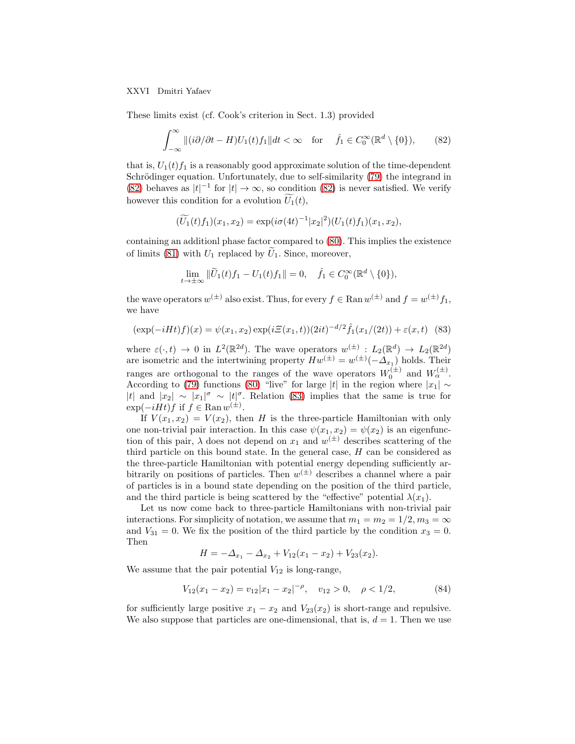XXVI Dmitri Yafaev

These limits exist (cf. Cook's criterion in Sect. 1.3) provided

<span id="page-25-0"></span>
$$
\int_{-\infty}^{\infty} \|(i\partial/\partial t - H)U_1(t)f_1\|dt < \infty \quad \text{for} \quad \hat{f}_1 \in C_0^{\infty}(\mathbb{R}^d \setminus \{0\}),\tag{82}
$$

that is,  $U_1(t) f_1$  is a reasonably good approximate solution of the time-dependent Schrödinger equation. Unfortunately, due to self-similarity [\(79\)](#page-24-0) the integrand in [\(82\)](#page-25-0) behaves as  $|t|^{-1}$  for  $|t| \to \infty$ , so condition [\(82\)](#page-25-0) is never satisfied. We verify however this condition for a evolution  $\widetilde{U}_1(t)$ ,

$$
(\widetilde{U_1}(t)f_1)(x_1,x_2) = \exp(i\sigma(4t)^{-1}|x_2|^2)(U_1(t)f_1)(x_1,x_2),
$$

containing an additionl phase factor compared to [\(80\)](#page-24-1). This implies the existence of limits [\(81\)](#page-24-2) with  $U_1$  replaced by  $U_1$ . Since, moreover,

$$
\lim_{t\to\pm\infty}\|\widetilde{U}_1(t)f_1-U_1(t)f_1\|=0,\quad \hat{f}_1\in C_0^{\infty}(\mathbb{R}^d\setminus\{0\}),
$$

the wave operators  $w^{(\pm)}$  also exist. Thus, for every  $f \in \text{Ran } w^{(\pm)}$  and  $f = w^{(\pm)} f_1$ , we have

<span id="page-25-1"></span>
$$
(\exp(-iHt)f)(x) = \psi(x_1, x_2) \exp(i\Xi(x_1, t))(2it)^{-d/2} \hat{f}_1(x_1/(2t)) + \varepsilon(x, t)
$$
 (83)

where  $\varepsilon(\cdot,t) \to 0$  in  $L^2(\mathbb{R}^{2d})$ . The wave operators  $w^{(\pm)}: L_2(\mathbb{R}^d) \to L_2(\mathbb{R}^{2d})$ are isometric and the intertwining property  $Hw^{(\pm)} = w^{(\pm)}(-\Delta_{x_1})$  holds. Their ranges are orthogonal to the ranges of the wave operators  $W_0^{(\pm)}$  and  $W_\alpha^{(\pm)}$ . According to [\(79\)](#page-24-0) functions [\(80\)](#page-24-1) "live" for large |t| in the region where  $|x_1| \sim$ |t| and  $|x_2| \sim |x_1|^{\sigma} \sim |t|^{\sigma}$ . Relation [\(83\)](#page-25-1) implies that the same is true for  $\exp(-iHt)f$  if  $f \in \text{Ran } w^{(\pm)}$ .

If  $V(x_1, x_2) = V(x_2)$ , then H is the three-particle Hamiltonian with only one non-trivial pair interaction. In this case  $\psi(x_1, x_2) = \psi(x_2)$  is an eigenfunction of this pair,  $\lambda$  does not depend on  $x_1$  and  $w^{(\pm)}$  describes scattering of the third particle on this bound state. In the general case,  $H$  can be considered as the three-particle Hamiltonian with potential energy depending sufficiently arbitrarily on positions of particles. Then  $w^{(\pm)}$  describes a channel where a pair of particles is in a bound state depending on the position of the third particle, and the third particle is being scattered by the "effective" potential  $\lambda(x_1)$ .

Let us now come back to three-particle Hamiltonians with non-trivial pair interactions. For simplicity of notation, we assume that  $m_1 = m_2 = 1/2, m_3 = \infty$ and  $V_{31} = 0$ . We fix the position of the third particle by the condition  $x_3 = 0$ . Then

$$
H = -\Delta_{x_1} - \Delta_{x_2} + V_{12}(x_1 - x_2) + V_{23}(x_2).
$$

We assume that the pair potential  $V_{12}$  is long-range,

<span id="page-25-2"></span>
$$
V_{12}(x_1 - x_2) = v_{12}|x_1 - x_2|^{-\rho}, \quad v_{12} > 0, \quad \rho < 1/2,
$$
 (84)

for sufficiently large positive  $x_1 - x_2$  and  $V_{23}(x_2)$  is short-range and repulsive. We also suppose that particles are one-dimensional, that is,  $d = 1$ . Then we use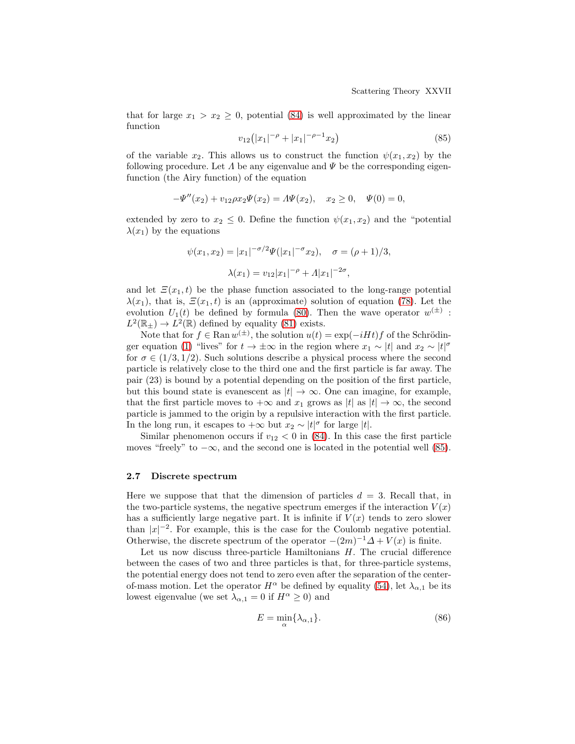that for large  $x_1 > x_2 \geq 0$ , potential [\(84\)](#page-25-2) is well approximated by the linear function

<span id="page-26-0"></span>
$$
v_{12}(|x_1|^{-\rho} + |x_1|^{-\rho-1}x_2)
$$
\n(85)

of the variable  $x_2$ . This allows us to construct the function  $\psi(x_1, x_2)$  by the following procedure. Let  $\Lambda$  be any eigenvalue and  $\Psi$  be the corresponding eigenfunction (the Airy function) of the equation

$$
-\Psi''(x_2) + v_{12}\rho x_2 \Psi(x_2) = A\Psi(x_2), \quad x_2 \ge 0, \quad \Psi(0) = 0,
$$

extended by zero to  $x_2 \leq 0$ . Define the function  $\psi(x_1, x_2)$  and the "potential"  $\lambda(x_1)$  by the equations

$$
\psi(x_1, x_2) = |x_1|^{-\sigma/2} \Psi(|x_1|^{-\sigma} x_2), \quad \sigma = (\rho + 1)/3,
$$

$$
\lambda(x_1) = v_{12}|x_1|^{-\rho} + \Lambda |x_1|^{-2\sigma},
$$

and let  $\Xi(x_1,t)$  be the phase function associated to the long-range potential  $\lambda(x_1)$ , that is,  $\Xi(x_1,t)$  is an (approximate) solution of equation [\(78\)](#page-24-3). Let the evolution  $U_1(t)$  be defined by formula [\(80\)](#page-24-1). Then the wave operator  $w^{(\pm)}$ :  $L^2(\mathbb{R}_+) \to L^2(\mathbb{R})$  defined by equality [\(81\)](#page-24-2) exists.

Note that for  $f \in \text{Ran } w^{(\pm)}$ , the solution  $u(t) = \exp(-iHt)f$  of the Schrödin-ger equation [\(1\)](#page-0-0) "lives" for  $t \to \pm \infty$  in the region where  $x_1 \sim |t|$  and  $x_2 \sim |t|^{\sigma}$ for  $\sigma \in (1/3, 1/2)$ . Such solutions describe a physical process where the second particle is relatively close to the third one and the first particle is far away. The pair (23) is bound by a potential depending on the position of the first particle, but this bound state is evanescent as  $|t| \to \infty$ . One can imagine, for example, that the first particle moves to  $+\infty$  and  $x_1$  grows as  $|t|$  as  $|t| \to \infty$ , the second particle is jammed to the origin by a repulsive interaction with the first particle. In the long run, it escapes to  $+\infty$  but  $x_2 \sim |t|^{\sigma}$  for large |t|.

Similar phenomenon occurs if  $v_{12} < 0$  in [\(84\)](#page-25-2). In this case the first particle moves "freely" to  $-\infty$ , and the second one is located in the potential well [\(85\)](#page-26-0).

## 2.7 Discrete spectrum

Here we suppose that that the dimension of particles  $d = 3$ . Recall that, in the two-particle systems, the negative spectrum emerges if the interaction  $V(x)$ has a sufficiently large negative part. It is infinite if  $V(x)$  tends to zero slower than  $|x|^{-2}$ . For example, this is the case for the Coulomb negative potential. Otherwise, the discrete spectrum of the operator  $-(2m)^{-1}\Delta + V(x)$  is finite.

Let us now discuss three-particle Hamiltonians  $H$ . The crucial difference between the cases of two and three particles is that, for three-particle systems, the potential energy does not tend to zero even after the separation of the centerof-mass motion. Let the operator  $H^{\alpha}$  be defined by equality [\(54\)](#page-16-2), let  $\lambda_{\alpha,1}$  be its lowest eigenvalue (we set  $\lambda_{\alpha,1} = 0$  if  $H^{\alpha} \geq 0$ ) and

<span id="page-26-1"></span>
$$
E = \min_{\alpha} \{ \lambda_{\alpha,1} \}. \tag{86}
$$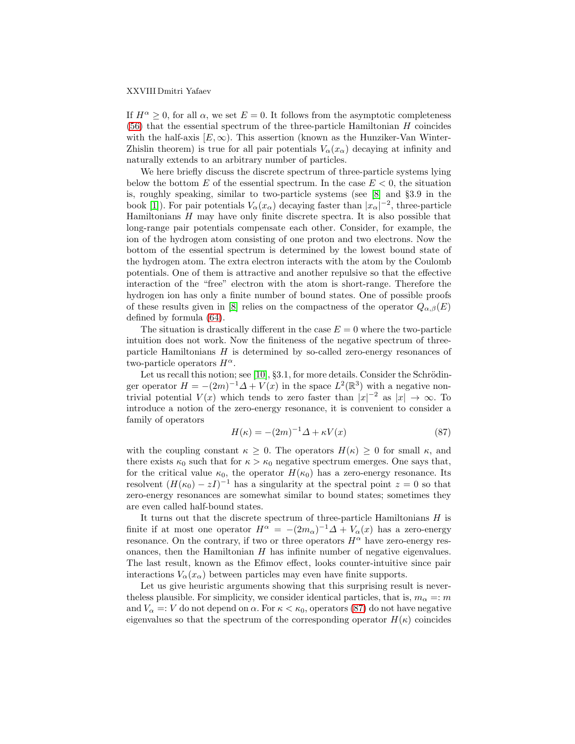#### XXVIII Dmitri Yafaev

If  $H^{\alpha} \geq 0$ , for all  $\alpha$ , we set  $E = 0$ . It follows from the asymptotic completeness  $(56)$  that the essential spectrum of the three-particle Hamiltonian H coincides with the half-axis  $[E, \infty)$ . This assertion (known as the Hunziker-Van Winter-Zhislin theorem) is true for all pair potentials  $V_{\alpha}(x_{\alpha})$  decaying at infinity and naturally extends to an arbitrary number of particles.

We here briefly discuss the discrete spectrum of three-particle systems lying below the bottom E of the essential spectrum. In the case  $E < 0$ , the situation is, roughly speaking, similar to two-particle systems (see [\[8\]](#page-28-8) and §3.9 in the book [\[1\]](#page-28-9)). For pair potentials  $V_{\alpha}(x_{\alpha})$  decaying faster than  $|x_{\alpha}|^{-2}$ , three-particle Hamiltonians  $H$  may have only finite discrete spectra. It is also possible that long-range pair potentials compensate each other. Consider, for example, the ion of the hydrogen atom consisting of one proton and two electrons. Now the bottom of the essential spectrum is determined by the lowest bound state of the hydrogen atom. The extra electron interacts with the atom by the Coulomb potentials. One of them is attractive and another repulsive so that the effective interaction of the "free" electron with the atom is short-range. Therefore the hydrogen ion has only a finite number of bound states. One of possible proofs of these results given in [\[8\]](#page-28-8) relies on the compactness of the operator  $Q_{\alpha,\beta}(E)$ defined by formula [\(64\)](#page-19-1).

The situation is drastically different in the case  $E = 0$  where the two-particle intuition does not work. Now the finiteness of the negative spectrum of threeparticle Hamiltonians  $H$  is determined by so-called zero-energy resonances of two-particle operators  $H^{\alpha}$ .

Let us recall this notion; see [\[10\]](#page-28-4),  $\S 3.1$ , for more details. Consider the Schrödinger operator  $H = -(2m)^{-1}\Delta + V(x)$  in the space  $L^2(\mathbb{R}^3)$  with a negative nontrivial potential  $V(x)$  which tends to zero faster than  $|x|^{-2}$  as  $|x| \to \infty$ . To introduce a notion of the zero-energy resonance, it is convenient to consider a family of operators

<span id="page-27-0"></span>
$$
H(\kappa) = -(2m)^{-1}\Delta + \kappa V(x) \tag{87}
$$

with the coupling constant  $\kappa \geq 0$ . The operators  $H(\kappa) \geq 0$  for small  $\kappa$ , and there exists  $\kappa_0$  such that for  $\kappa > \kappa_0$  negative spectrum emerges. One says that, for the critical value  $\kappa_0$ , the operator  $H(\kappa_0)$  has a zero-energy resonance. Its resolvent  $(H(\kappa_0) - zI)^{-1}$  has a singularity at the spectral point  $z = 0$  so that zero-energy resonances are somewhat similar to bound states; sometimes they are even called half-bound states.

It turns out that the discrete spectrum of three-particle Hamiltonians  $H$  is finite if at most one operator  $H^{\alpha} = -(2m_{\alpha})^{-1}\Delta + V_{\alpha}(x)$  has a zero-energy resonance. On the contrary, if two or three operators  $H^{\alpha}$  have zero-energy resonances, then the Hamiltonian  $H$  has infinite number of negative eigenvalues. The last result, known as the Efimov effect, looks counter-intuitive since pair interactions  $V_{\alpha}(x_{\alpha})$  between particles may even have finite supports.

Let us give heuristic arguments showing that this surprising result is neverthe less plausible. For simplicity, we consider identical particles, that is,  $m_{\alpha} =: m$ and  $V_{\alpha} =: V$  do not depend on  $\alpha$ . For  $\kappa < \kappa_0$ , operators [\(87\)](#page-27-0) do not have negative eigenvalues so that the spectrum of the corresponding operator  $H(\kappa)$  coincides